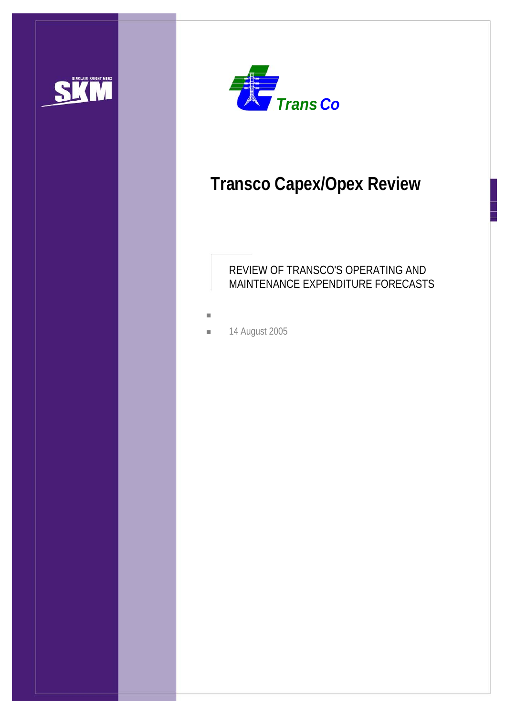



# **Transco Capex/Opex Review**

## REVIEW OF TRANSCO'S OPERATING AND MAINTENANCE EXPENDITURE FORECASTS

- L.
- **14 August 2005**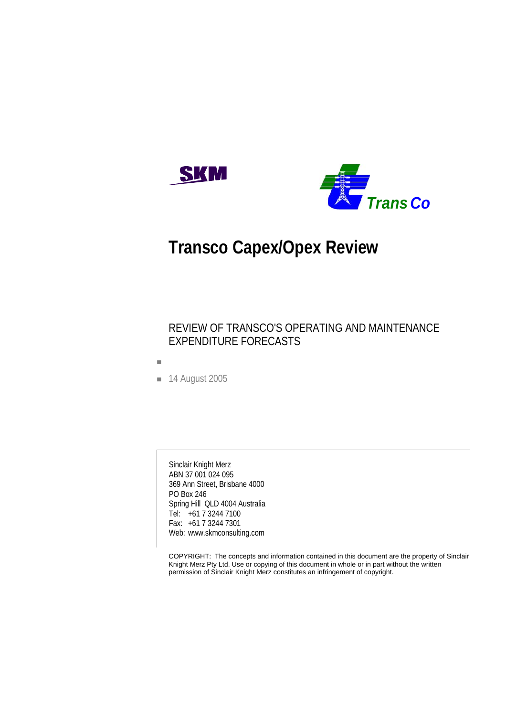



# **Transco Capex/Opex Review**

## REVIEW OF TRANSCO'S OPERATING AND MAINTENANCE EXPENDITURE FORECASTS

- Ì.
- **14 August 2005**

Sinclair Knight Merz ABN 37 001 024 095 369 Ann Street, Brisbane 4000 PO Box 246 Spring Hill QLD 4004 Australia Tel: +61 7 3244 7100 Fax: +61 7 3244 7301 Web: www.skmconsulting.com

COPYRIGHT: The concepts and information contained in this document are the property of Sinclair Knight Merz Pty Ltd. Use or copying of this document in whole or in part without the written permission of Sinclair Knight Merz constitutes an infringement of copyright.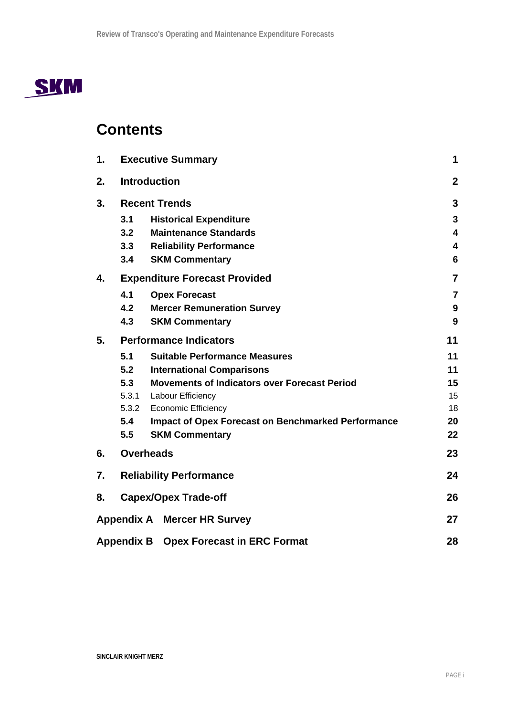

## **Contents**

| 1. | <b>Executive Summary</b> |                                                           |                         |  |
|----|--------------------------|-----------------------------------------------------------|-------------------------|--|
| 2. | <b>Introduction</b>      |                                                           |                         |  |
| 3. |                          | <b>Recent Trends</b>                                      | 3                       |  |
|    | 3.1                      | <b>Historical Expenditure</b>                             | 3                       |  |
|    | 3.2                      | <b>Maintenance Standards</b>                              | $\overline{\mathbf{4}}$ |  |
|    | 3.3                      | <b>Reliability Performance</b>                            | 4                       |  |
|    | 3.4                      | <b>SKM Commentary</b>                                     | $6\phantom{1}6$         |  |
| 4. |                          | <b>Expenditure Forecast Provided</b>                      | $\overline{7}$          |  |
|    | 4.1                      | <b>Opex Forecast</b>                                      | $\overline{7}$          |  |
|    | 4.2                      | <b>Mercer Remuneration Survey</b>                         | 9                       |  |
|    | 4.3                      | <b>SKM Commentary</b>                                     | 9                       |  |
| 5. |                          | <b>Performance Indicators</b>                             | 11                      |  |
|    | 5.1                      | <b>Suitable Performance Measures</b>                      | 11                      |  |
|    | 5.2                      | <b>International Comparisons</b>                          | 11                      |  |
|    | 5.3                      | <b>Movements of Indicators over Forecast Period</b>       | 15                      |  |
|    | 5.3.1                    | Labour Efficiency                                         | 15                      |  |
|    | 5.3.2                    | <b>Economic Efficiency</b>                                | 18                      |  |
|    | 5.4                      | <b>Impact of Opex Forecast on Benchmarked Performance</b> | 20                      |  |
|    | 5.5                      | <b>SKM Commentary</b>                                     | 22                      |  |
| 6. |                          | <b>Overheads</b>                                          | 23                      |  |
| 7. |                          | <b>Reliability Performance</b>                            | 24                      |  |
| 8. |                          | <b>Capex/Opex Trade-off</b>                               | 26                      |  |
|    |                          | <b>Appendix A Mercer HR Survey</b>                        | 27                      |  |
|    | <b>Appendix B</b>        | <b>Opex Forecast in ERC Format</b>                        | 28                      |  |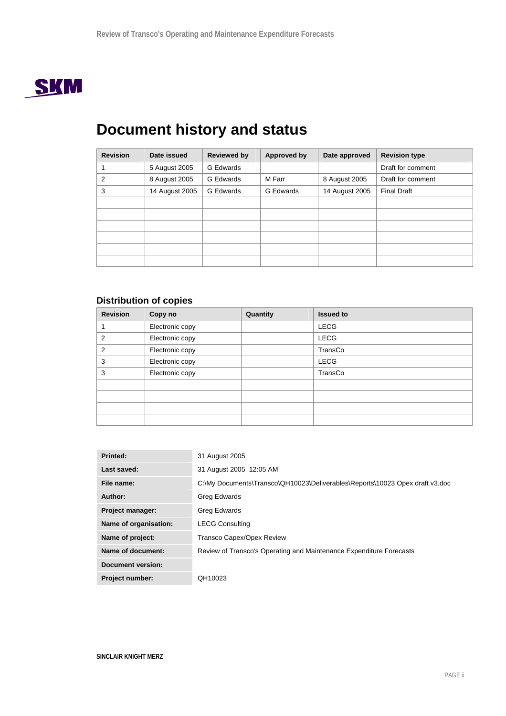

# **Document history and status**

| <b>Revision</b> | Date issued    | <b>Reviewed by</b> | Approved by | Date approved  | <b>Revision type</b> |
|-----------------|----------------|--------------------|-------------|----------------|----------------------|
|                 | 5 August 2005  | G Edwards          |             |                | Draft for comment    |
| 2               | 8 August 2005  | G Edwards          | M Farr      | 8 August 2005  | Draft for comment    |
| 3               | 14 August 2005 | <b>G</b> Edwards   | G Edwards   | 14 August 2005 | <b>Final Draft</b>   |
|                 |                |                    |             |                |                      |
|                 |                |                    |             |                |                      |
|                 |                |                    |             |                |                      |
|                 |                |                    |             |                |                      |
|                 |                |                    |             |                |                      |
|                 |                |                    |             |                |                      |

## **Distribution of copies**

| <b>Revision</b> | Copy no         | Quantity | <b>Issued to</b> |
|-----------------|-----------------|----------|------------------|
|                 | Electronic copy |          | <b>LECG</b>      |
| 2               | Electronic copy |          | <b>LECG</b>      |
| 2               | Electronic copy |          | TransCo          |
| 3               | Electronic copy |          | <b>LECG</b>      |
| 3               | Electronic copy |          | TransCo          |
|                 |                 |          |                  |
|                 |                 |          |                  |
|                 |                 |          |                  |
|                 |                 |          |                  |

| Printed:                 | 31 August 2005                                                               |
|--------------------------|------------------------------------------------------------------------------|
| Last saved:              | 31 August 2005 12:05 AM                                                      |
| File name:               | C:\My Documents\Transco\QH10023\Deliverables\Reports\10023 Opex draft v3.doc |
| Author:                  | Greg Edwards                                                                 |
| <b>Project manager:</b>  | Greg Edwards                                                                 |
| Name of organisation:    | <b>LECG Consulting</b>                                                       |
| Name of project:         | <b>Transco Capex/Opex Review</b>                                             |
| Name of document:        | Review of Transco's Operating and Maintenance Expenditure Forecasts          |
| <b>Document version:</b> |                                                                              |
| <b>Project number:</b>   | QH10023                                                                      |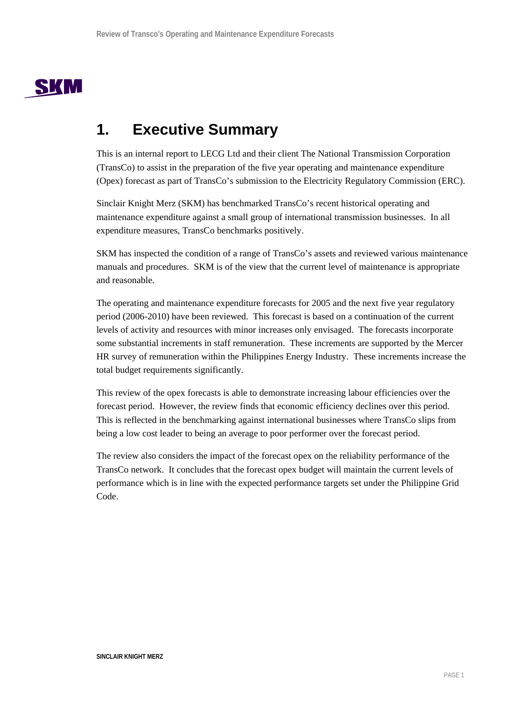

## **1. Executive Summary**

This is an internal report to LECG Ltd and their client The National Transmission Corporation (TransCo) to assist in the preparation of the five year operating and maintenance expenditure (Opex) forecast as part of TransCo's submission to the Electricity Regulatory Commission (ERC).

Sinclair Knight Merz (SKM) has benchmarked TransCo's recent historical operating and maintenance expenditure against a small group of international transmission businesses. In all expenditure measures, TransCo benchmarks positively.

SKM has inspected the condition of a range of TransCo's assets and reviewed various maintenance manuals and procedures. SKM is of the view that the current level of maintenance is appropriate and reasonable.

The operating and maintenance expenditure forecasts for 2005 and the next five year regulatory period (2006-2010) have been reviewed. This forecast is based on a continuation of the current levels of activity and resources with minor increases only envisaged. The forecasts incorporate some substantial increments in staff remuneration. These increments are supported by the Mercer HR survey of remuneration within the Philippines Energy Industry. These increments increase the total budget requirements significantly.

This review of the opex forecasts is able to demonstrate increasing labour efficiencies over the forecast period. However, the review finds that economic efficiency declines over this period. This is reflected in the benchmarking against international businesses where TransCo slips from being a low cost leader to being an average to poor performer over the forecast period.

The review also considers the impact of the forecast opex on the reliability performance of the TransCo network. It concludes that the forecast opex budget will maintain the current levels of performance which is in line with the expected performance targets set under the Philippine Grid Code.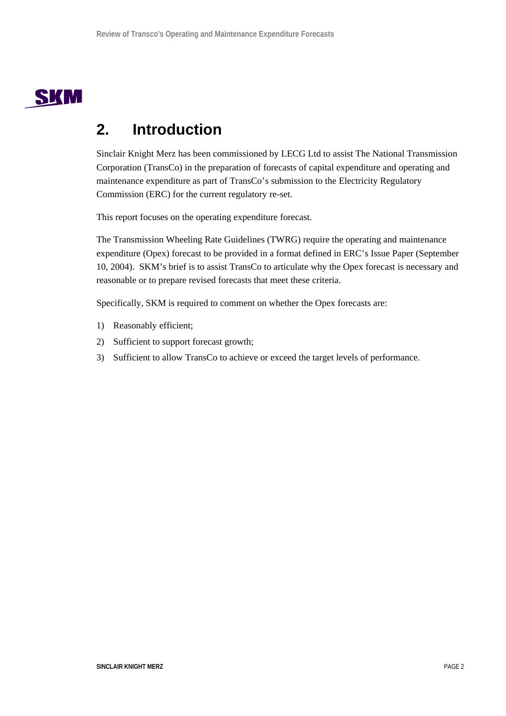

## **2. Introduction**

Sinclair Knight Merz has been commissioned by LECG Ltd to assist The National Transmission Corporation (TransCo) in the preparation of forecasts of capital expenditure and operating and maintenance expenditure as part of TransCo's submission to the Electricity Regulatory Commission (ERC) for the current regulatory re-set.

This report focuses on the operating expenditure forecast.

The Transmission Wheeling Rate Guidelines (TWRG) require the operating and maintenance expenditure (Opex) forecast to be provided in a format defined in ERC's Issue Paper (September 10, 2004). SKM's brief is to assist TransCo to articulate why the Opex forecast is necessary and reasonable or to prepare revised forecasts that meet these criteria.

Specifically, SKM is required to comment on whether the Opex forecasts are:

- 1) Reasonably efficient;
- 2) Sufficient to support forecast growth;
- 3) Sufficient to allow TransCo to achieve or exceed the target levels of performance.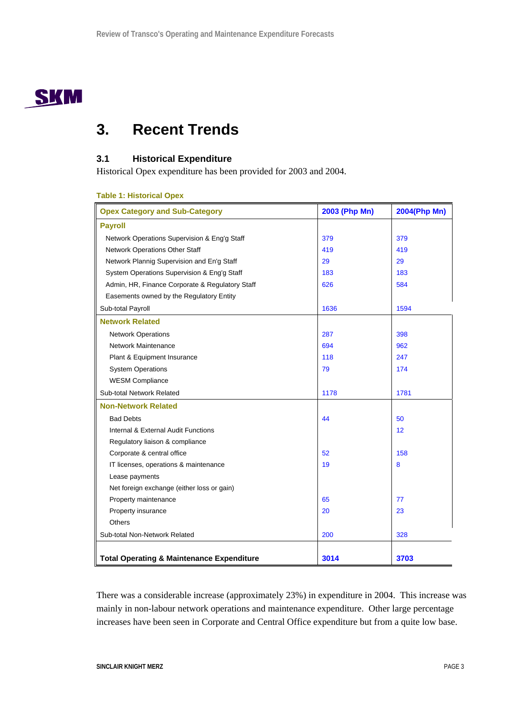

## **3. Recent Trends**

## **3.1 Historical Expenditure**

Historical Opex expenditure has been provided for 2003 and 2004.

## **Table 1: Historical Opex**

| <b>Opex Category and Sub-Category</b>                | 2003 (Php Mn) | 2004(Php Mn) |
|------------------------------------------------------|---------------|--------------|
| <b>Payroll</b>                                       |               |              |
| Network Operations Supervision & Eng'g Staff         | 379           | 379          |
| <b>Network Operations Other Staff</b>                | 419           | 419          |
| Network Plannig Supervision and En'g Staff           | 29            | 29           |
| System Operations Supervision & Eng'g Staff          | 183           | 183          |
| Admin, HR, Finance Corporate & Regulatory Staff      | 626           | 584          |
| Easements owned by the Regulatory Entity             |               |              |
| Sub-total Payroll                                    | 1636          | 1594         |
| <b>Network Related</b>                               |               |              |
| <b>Network Operations</b>                            | 287           | 398          |
| Network Maintenance                                  | 694           | 962          |
| Plant & Equipment Insurance                          | 118           | 247          |
| <b>System Operations</b>                             | 79            | 174          |
| <b>WESM Compliance</b>                               |               |              |
| Sub-total Network Related                            | 1178          | 1781         |
| <b>Non-Network Related</b>                           |               |              |
| <b>Bad Debts</b>                                     | 44            | 50           |
| Internal & External Audit Functions                  |               | 12           |
| Regulatory liaison & compliance                      |               |              |
| Corporate & central office                           | 52            | 158          |
| IT licenses, operations & maintenance                | 19            | 8            |
| Lease payments                                       |               |              |
| Net foreign exchange (either loss or gain)           |               |              |
| Property maintenance                                 | 65            | 77           |
| Property insurance                                   | 20            | 23           |
| <b>Others</b>                                        |               |              |
| Sub-total Non-Network Related                        | 200           | 328          |
|                                                      |               |              |
| <b>Total Operating &amp; Maintenance Expenditure</b> | 3014          | 3703         |

There was a considerable increase (approximately 23%) in expenditure in 2004. This increase was mainly in non-labour network operations and maintenance expenditure. Other large percentage increases have been seen in Corporate and Central Office expenditure but from a quite low base.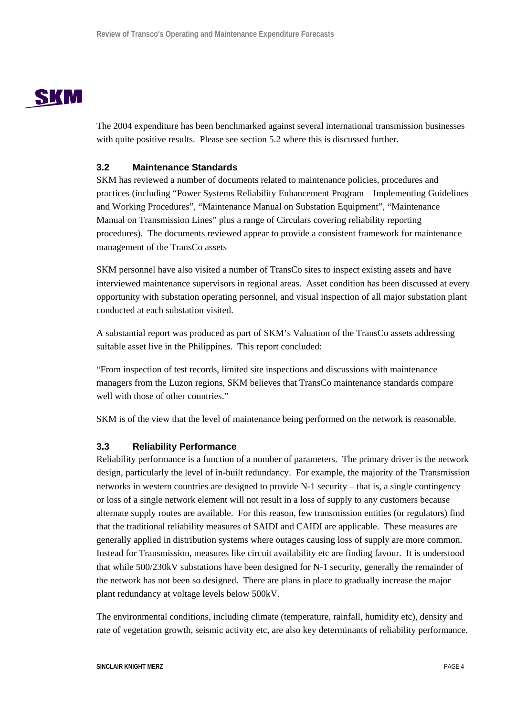

The 2004 expenditure has been benchmarked against several international transmission businesses with quite positive results. Please see section 5.2 where this is discussed further.

## **3.2 Maintenance Standards**

SKM has reviewed a number of documents related to maintenance policies, procedures and practices (including "Power Systems Reliability Enhancement Program – Implementing Guidelines and Working Procedures", "Maintenance Manual on Substation Equipment", "Maintenance Manual on Transmission Lines" plus a range of Circulars covering reliability reporting procedures). The documents reviewed appear to provide a consistent framework for maintenance management of the TransCo assets

SKM personnel have also visited a number of TransCo sites to inspect existing assets and have interviewed maintenance supervisors in regional areas. Asset condition has been discussed at every opportunity with substation operating personnel, and visual inspection of all major substation plant conducted at each substation visited.

A substantial report was produced as part of SKM's Valuation of the TransCo assets addressing suitable asset live in the Philippines. This report concluded:

"From inspection of test records, limited site inspections and discussions with maintenance managers from the Luzon regions, SKM believes that TransCo maintenance standards compare well with those of other countries."

SKM is of the view that the level of maintenance being performed on the network is reasonable.

## **3.3 Reliability Performance**

Reliability performance is a function of a number of parameters. The primary driver is the network design, particularly the level of in-built redundancy. For example, the majority of the Transmission networks in western countries are designed to provide N-1 security – that is, a single contingency or loss of a single network element will not result in a loss of supply to any customers because alternate supply routes are available. For this reason, few transmission entities (or regulators) find that the traditional reliability measures of SAIDI and CAIDI are applicable. These measures are generally applied in distribution systems where outages causing loss of supply are more common. Instead for Transmission, measures like circuit availability etc are finding favour. It is understood that while 500/230kV substations have been designed for N-1 security, generally the remainder of the network has not been so designed. There are plans in place to gradually increase the major plant redundancy at voltage levels below 500kV.

The environmental conditions, including climate (temperature, rainfall, humidity etc), density and rate of vegetation growth, seismic activity etc, are also key determinants of reliability performance.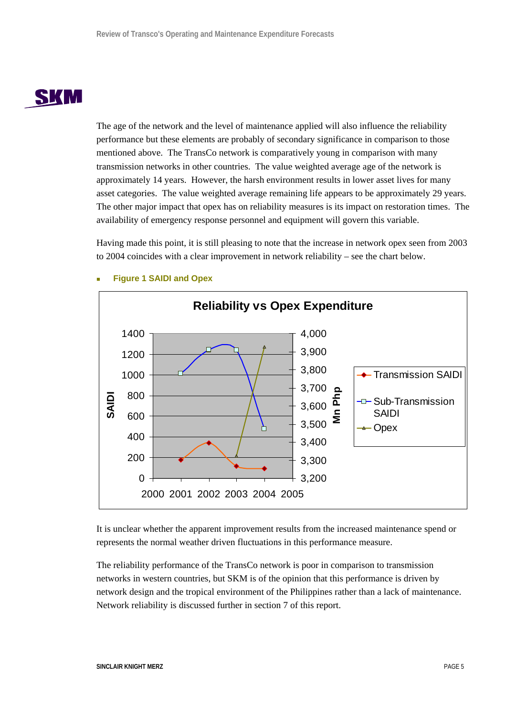# SKM

The age of the network and the level of maintenance applied will also influence the reliability performance but these elements are probably of secondary significance in comparison to those mentioned above. The TransCo network is comparatively young in comparison with many transmission networks in other countries. The value weighted average age of the network is approximately 14 years. However, the harsh environment results in lower asset lives for many asset categories. The value weighted average remaining life appears to be approximately 29 years. The other major impact that opex has on reliability measures is its impact on restoration times. The availability of emergency response personnel and equipment will govern this variable.

Having made this point, it is still pleasing to note that the increase in network opex seen from 2003 to 2004 coincides with a clear improvement in network reliability – see the chart below.



## **Figure 1 SAIDI and Opex**

It is unclear whether the apparent improvement results from the increased maintenance spend or represents the normal weather driven fluctuations in this performance measure.

The reliability performance of the TransCo network is poor in comparison to transmission networks in western countries, but SKM is of the opinion that this performance is driven by network design and the tropical environment of the Philippines rather than a lack of maintenance. Network reliability is discussed further in section 7 of this report.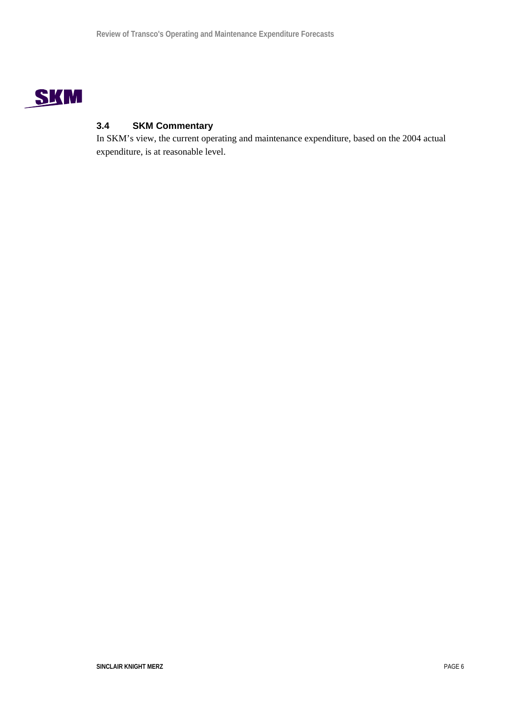

## **3.4 SKM Commentary**

In SKM's view, the current operating and maintenance expenditure, based on the 2004 actual expenditure, is at reasonable level.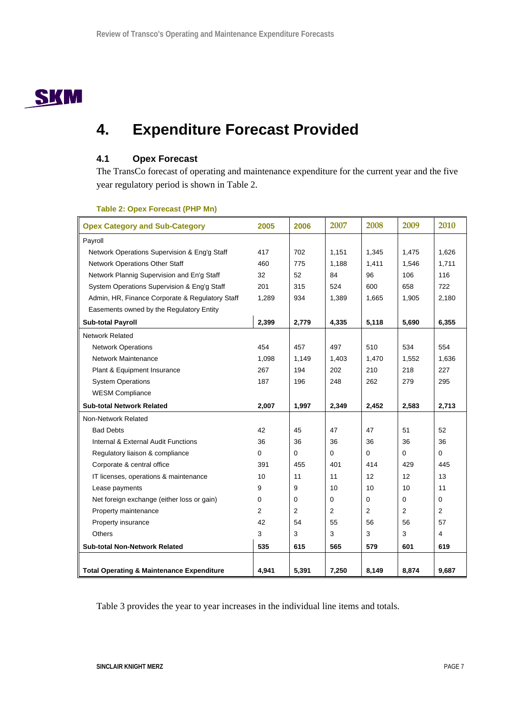

## **4. Expenditure Forecast Provided**

## **4.1 Opex Forecast**

The TransCo forecast of operating and maintenance expenditure for the current year and the five year regulatory period is shown in Table 2.

| <b>Opex Category and Sub-Category</b>                | 2005  | 2006  | 2007        | 2008           | 2009           | 2010  |
|------------------------------------------------------|-------|-------|-------------|----------------|----------------|-------|
| Payroll                                              |       |       |             |                |                |       |
| Network Operations Supervision & Eng'g Staff         | 417   | 702   | 1,151       | 1,345          | 1,475          | 1,626 |
| Network Operations Other Staff                       | 460   | 775   | 1,188       | 1,411          | 1,546          | 1,711 |
| Network Plannig Supervision and En'g Staff           | 32    | 52    | 84          | 96             | 106            | 116   |
| System Operations Supervision & Eng'g Staff          | 201   | 315   | 524         | 600            | 658            | 722   |
| Admin, HR, Finance Corporate & Regulatory Staff      | 1,289 | 934   | 1,389       | 1,665          | 1,905          | 2,180 |
| Easements owned by the Regulatory Entity             |       |       |             |                |                |       |
| <b>Sub-total Payroll</b>                             | 2,399 | 2,779 | 4,335       | 5,118          | 5,690          | 6,355 |
| <b>Network Related</b>                               |       |       |             |                |                |       |
| <b>Network Operations</b>                            | 454   | 457   | 497         | 510            | 534            | 554   |
| <b>Network Maintenance</b>                           | 1,098 | 1,149 | 1,403       | 1,470          | 1,552          | 1,636 |
| Plant & Equipment Insurance                          | 267   | 194   | 202         | 210            | 218            | 227   |
| <b>System Operations</b>                             | 187   | 196   | 248         | 262            | 279            | 295   |
| <b>WESM Compliance</b>                               |       |       |             |                |                |       |
| <b>Sub-total Network Related</b>                     | 2,007 | 1,997 | 2,349       | 2,452          | 2,583          | 2,713 |
| Non-Network Related                                  |       |       |             |                |                |       |
| <b>Bad Debts</b>                                     | 42    | 45    | 47          | 47             | 51             | 52    |
| Internal & External Audit Functions                  | 36    | 36    | 36          | 36             | 36             | 36    |
| Regulatory liaison & compliance                      | 0     | 0     | $\mathbf 0$ | 0              | 0              | 0     |
| Corporate & central office                           | 391   | 455   | 401         | 414            | 429            | 445   |
| IT licenses, operations & maintenance                | 10    | 11    | 11          | 12             | 12             | 13    |
| Lease payments                                       | 9     | 9     | 10          | 10             | 10             | 11    |
| Net foreign exchange (either loss or gain)           | 0     | 0     | 0           | 0              | $\Omega$       | 0     |
| Property maintenance                                 | 2     | 2     | 2           | $\overline{2}$ | $\overline{2}$ | 2     |
| Property insurance                                   | 42    | 54    | 55          | 56             | 56             | 57    |
| <b>Others</b>                                        | 3     | 3     | 3           | 3              | 3              | 4     |
| <b>Sub-total Non-Network Related</b>                 | 535   | 615   | 565         | 579            | 601            | 619   |
|                                                      |       |       |             |                |                |       |
| <b>Total Operating &amp; Maintenance Expenditure</b> | 4,941 | 5,391 | 7,250       | 8,149          | 8,874          | 9,687 |

## **Table 2: Opex Forecast (PHP Mn)**

Table 3 provides the year to year increases in the individual line items and totals.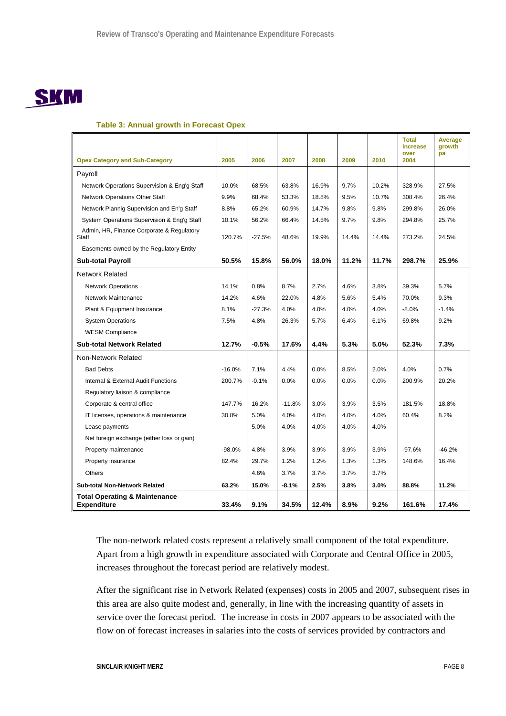# **SKM**

## **Table 3: Annual growth in Forecast Opex**

|                                                                |          |          |          |       |       |       | <b>Total</b><br>increase<br>over | <b>Average</b><br>growth<br>pa |
|----------------------------------------------------------------|----------|----------|----------|-------|-------|-------|----------------------------------|--------------------------------|
| <b>Opex Category and Sub-Category</b>                          | 2005     | 2006     | 2007     | 2008  | 2009  | 2010  | 2004                             |                                |
| Payroll                                                        |          |          |          |       |       |       |                                  |                                |
| Network Operations Supervision & Eng'g Staff                   | 10.0%    | 68.5%    | 63.8%    | 16.9% | 9.7%  | 10.2% | 328.9%                           | 27.5%                          |
| Network Operations Other Staff                                 | 9.9%     | 68.4%    | 53.3%    | 18.8% | 9.5%  | 10.7% | 308.4%                           | 26.4%                          |
| Network Plannig Supervision and En'g Staff                     | 8.8%     | 65.2%    | 60.9%    | 14.7% | 9.8%  | 9.8%  | 299.8%                           | 26.0%                          |
| System Operations Supervision & Eng'g Staff                    | 10.1%    | 56.2%    | 66.4%    | 14.5% | 9.7%  | 9.8%  | 294.8%                           | 25.7%                          |
| Admin, HR, Finance Corporate & Regulatory<br>Staff             | 120.7%   | $-27.5%$ | 48.6%    | 19.9% | 14.4% | 14.4% | 273.2%                           | 24.5%                          |
| Easements owned by the Regulatory Entity                       |          |          |          |       |       |       |                                  |                                |
| <b>Sub-total Payroll</b>                                       | 50.5%    | 15.8%    | 56.0%    | 18.0% | 11.2% | 11.7% | 298.7%                           | 25.9%                          |
| <b>Network Related</b>                                         |          |          |          |       |       |       |                                  |                                |
| <b>Network Operations</b>                                      | 14.1%    | 0.8%     | 8.7%     | 2.7%  | 4.6%  | 3.8%  | 39.3%                            | 5.7%                           |
| Network Maintenance                                            | 14.2%    | 4.6%     | 22.0%    | 4.8%  | 5.6%  | 5.4%  | 70.0%                            | 9.3%                           |
| Plant & Equipment Insurance                                    | 8.1%     | $-27.3%$ | 4.0%     | 4.0%  | 4.0%  | 4.0%  | $-8.0%$                          | $-1.4%$                        |
| <b>System Operations</b>                                       | 7.5%     | 4.8%     | 26.3%    | 5.7%  | 6.4%  | 6.1%  | 69.8%                            | 9.2%                           |
| <b>WESM Compliance</b>                                         |          |          |          |       |       |       |                                  |                                |
| <b>Sub-total Network Related</b>                               | 12.7%    | $-0.5%$  | 17.6%    | 4.4%  | 5.3%  | 5.0%  | 52.3%                            | 7.3%                           |
| Non-Network Related                                            |          |          |          |       |       |       |                                  |                                |
| <b>Bad Debts</b>                                               | $-16.0%$ | 7.1%     | 4.4%     | 0.0%  | 8.5%  | 2.0%  | 4.0%                             | 0.7%                           |
| Internal & External Audit Functions                            | 200.7%   | $-0.1%$  | 0.0%     | 0.0%  | 0.0%  | 0.0%  | 200.9%                           | 20.2%                          |
| Regulatory liaison & compliance                                |          |          |          |       |       |       |                                  |                                |
| Corporate & central office                                     | 147.7%   | 16.2%    | $-11.8%$ | 3.0%  | 3.9%  | 3.5%  | 181.5%                           | 18.8%                          |
| IT licenses, operations & maintenance                          | 30.8%    | 5.0%     | 4.0%     | 4.0%  | 4.0%  | 4.0%  | 60.4%                            | 8.2%                           |
| Lease payments                                                 |          | 5.0%     | 4.0%     | 4.0%  | 4.0%  | 4.0%  |                                  |                                |
| Net foreign exchange (either loss or gain)                     |          |          |          |       |       |       |                                  |                                |
| Property maintenance                                           | $-98.0%$ | 4.8%     | 3.9%     | 3.9%  | 3.9%  | 3.9%  | $-97.6%$                         | $-46.2%$                       |
| Property insurance                                             | 82.4%    | 29.7%    | 1.2%     | 1.2%  | 1.3%  | 1.3%  | 148.6%                           | 16.4%                          |
| <b>Others</b>                                                  |          | 4.6%     | 3.7%     | 3.7%  | 3.7%  | 3.7%  |                                  |                                |
| <b>Sub-total Non-Network Related</b>                           | 63.2%    | 15.0%    | $-8.1%$  | 2.5%  | 3.8%  | 3.0%  | 88.8%                            | 11.2%                          |
| <b>Total Operating &amp; Maintenance</b><br><b>Expenditure</b> | 33.4%    | 9.1%     | 34.5%    | 12.4% | 8.9%  | 9.2%  | 161.6%                           | 17.4%                          |

The non-network related costs represent a relatively small component of the total expenditure. Apart from a high growth in expenditure associated with Corporate and Central Office in 2005, increases throughout the forecast period are relatively modest.

After the significant rise in Network Related (expenses) costs in 2005 and 2007, subsequent rises in this area are also quite modest and, generally, in line with the increasing quantity of assets in service over the forecast period. The increase in costs in 2007 appears to be associated with the flow on of forecast increases in salaries into the costs of services provided by contractors and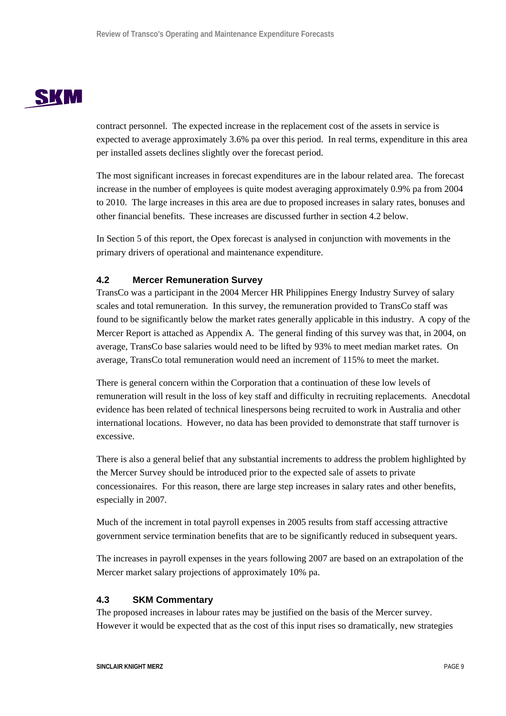# **SKM**

contract personnel. The expected increase in the replacement cost of the assets in service is expected to average approximately 3.6% pa over this period. In real terms, expenditure in this area per installed assets declines slightly over the forecast period.

The most significant increases in forecast expenditures are in the labour related area. The forecast increase in the number of employees is quite modest averaging approximately 0.9% pa from 2004 to 2010. The large increases in this area are due to proposed increases in salary rates, bonuses and other financial benefits. These increases are discussed further in section 4.2 below.

In Section 5 of this report, the Opex forecast is analysed in conjunction with movements in the primary drivers of operational and maintenance expenditure.

## **4.2 Mercer Remuneration Survey**

TransCo was a participant in the 2004 Mercer HR Philippines Energy Industry Survey of salary scales and total remuneration. In this survey, the remuneration provided to TransCo staff was found to be significantly below the market rates generally applicable in this industry. A copy of the Mercer Report is attached as Appendix A. The general finding of this survey was that, in 2004, on average, TransCo base salaries would need to be lifted by 93% to meet median market rates. On average, TransCo total remuneration would need an increment of 115% to meet the market.

There is general concern within the Corporation that a continuation of these low levels of remuneration will result in the loss of key staff and difficulty in recruiting replacements. Anecdotal evidence has been related of technical linespersons being recruited to work in Australia and other international locations. However, no data has been provided to demonstrate that staff turnover is excessive.

There is also a general belief that any substantial increments to address the problem highlighted by the Mercer Survey should be introduced prior to the expected sale of assets to private concessionaires. For this reason, there are large step increases in salary rates and other benefits, especially in 2007.

Much of the increment in total payroll expenses in 2005 results from staff accessing attractive government service termination benefits that are to be significantly reduced in subsequent years.

The increases in payroll expenses in the years following 2007 are based on an extrapolation of the Mercer market salary projections of approximately 10% pa.

## **4.3 SKM Commentary**

The proposed increases in labour rates may be justified on the basis of the Mercer survey. However it would be expected that as the cost of this input rises so dramatically, new strategies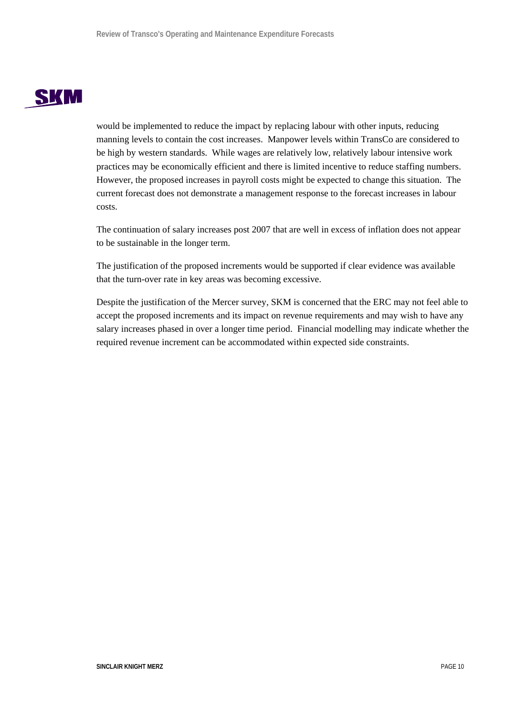

would be implemented to reduce the impact by replacing labour with other inputs, reducing manning levels to contain the cost increases. Manpower levels within TransCo are considered to be high by western standards. While wages are relatively low, relatively labour intensive work practices may be economically efficient and there is limited incentive to reduce staffing numbers. However, the proposed increases in payroll costs might be expected to change this situation. The current forecast does not demonstrate a management response to the forecast increases in labour costs.

The continuation of salary increases post 2007 that are well in excess of inflation does not appear to be sustainable in the longer term.

The justification of the proposed increments would be supported if clear evidence was available that the turn-over rate in key areas was becoming excessive.

Despite the justification of the Mercer survey, SKM is concerned that the ERC may not feel able to accept the proposed increments and its impact on revenue requirements and may wish to have any salary increases phased in over a longer time period. Financial modelling may indicate whether the required revenue increment can be accommodated within expected side constraints.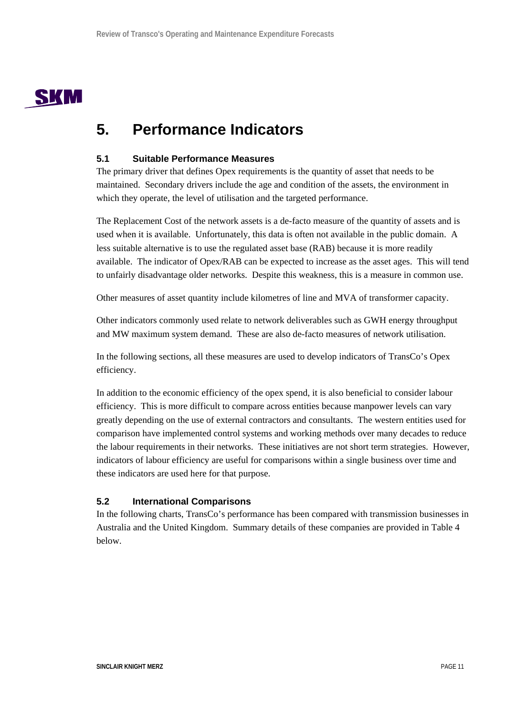

## **5. Performance Indicators**

## **5.1 Suitable Performance Measures**

The primary driver that defines Opex requirements is the quantity of asset that needs to be maintained. Secondary drivers include the age and condition of the assets, the environment in which they operate, the level of utilisation and the targeted performance.

The Replacement Cost of the network assets is a de-facto measure of the quantity of assets and is used when it is available. Unfortunately, this data is often not available in the public domain. A less suitable alternative is to use the regulated asset base (RAB) because it is more readily available. The indicator of Opex/RAB can be expected to increase as the asset ages. This will tend to unfairly disadvantage older networks. Despite this weakness, this is a measure in common use.

Other measures of asset quantity include kilometres of line and MVA of transformer capacity.

Other indicators commonly used relate to network deliverables such as GWH energy throughput and MW maximum system demand. These are also de-facto measures of network utilisation.

In the following sections, all these measures are used to develop indicators of TransCo's Opex efficiency.

In addition to the economic efficiency of the opex spend, it is also beneficial to consider labour efficiency. This is more difficult to compare across entities because manpower levels can vary greatly depending on the use of external contractors and consultants. The western entities used for comparison have implemented control systems and working methods over many decades to reduce the labour requirements in their networks. These initiatives are not short term strategies. However, indicators of labour efficiency are useful for comparisons within a single business over time and these indicators are used here for that purpose.

## **5.2 International Comparisons**

In the following charts, TransCo's performance has been compared with transmission businesses in Australia and the United Kingdom. Summary details of these companies are provided in Table 4 below.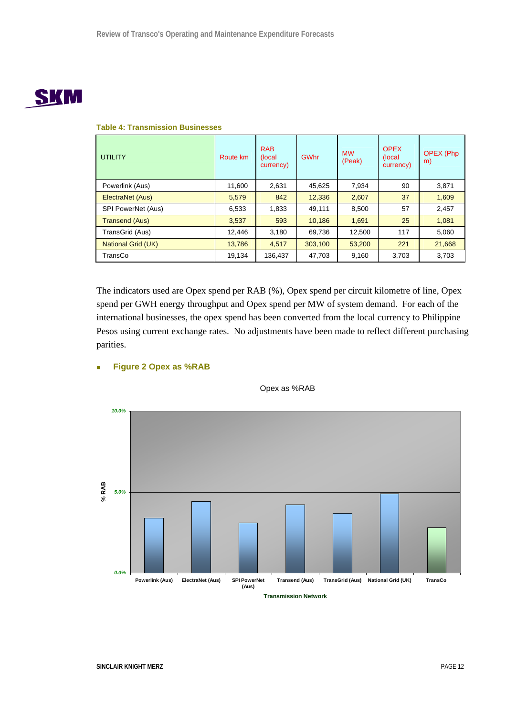# **SKM**

| <b>UTILITY</b>            | Route km | <b>RAB</b><br>(local<br>currency) | <b>GWhr</b> | <b>MW</b><br>(Peak) | <b>OPEX</b><br>(local)<br>currency) | <b>OPEX (Php</b><br>m) |
|---------------------------|----------|-----------------------------------|-------------|---------------------|-------------------------------------|------------------------|
| Powerlink (Aus)           | 11,600   | 2,631                             | 45.625      | 7,934               | 90                                  | 3,871                  |
| ElectraNet (Aus)          | 5,579    | 842                               | 12,336      | 2,607               | 37                                  | 1,609                  |
| SPI PowerNet (Aus)        | 6,533    | 1,833                             | 49,111      | 8,500               | 57                                  | 2,457                  |
| <b>Transend (Aus)</b>     | 3,537    | 593                               | 10,186      | 1,691               | 25                                  | 1,081                  |
| TransGrid (Aus)           | 12,446   | 3,180                             | 69,736      | 12,500              | 117                                 | 5,060                  |
| <b>National Grid (UK)</b> | 13,786   | 4,517                             | 303,100     | 53,200              | 221                                 | 21,668                 |
| TransCo                   | 19,134   | 136,437                           | 47,703      | 9,160               | 3,703                               | 3,703                  |

## **Table 4: Transmission Businesses**

The indicators used are Opex spend per RAB (%), Opex spend per circuit kilometre of line, Opex spend per GWH energy throughput and Opex spend per MW of system demand. For each of the international businesses, the opex spend has been converted from the local currency to Philippine Pesos using current exchange rates. No adjustments have been made to reflect different purchasing parities.



## **Figure 2 Opex as %RAB**

**SINCLAIR KNIGHT MERZ** PAGE 12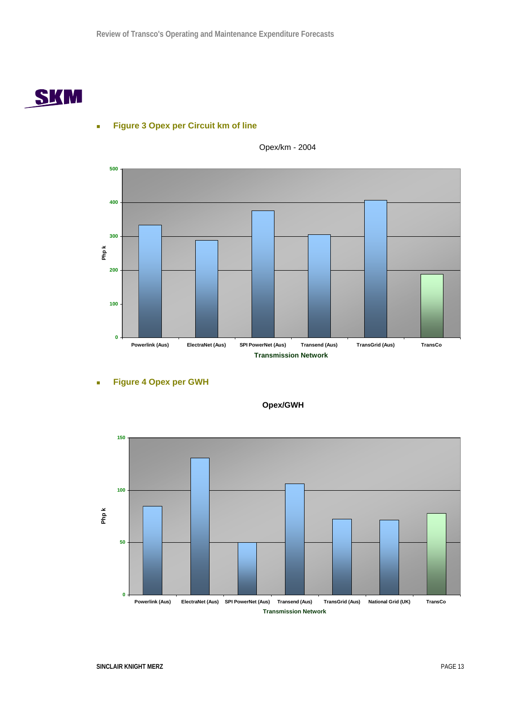

## **Figure 3 Opex per Circuit km of line**



Opex/km - 2004

**Figure 4 Opex per GWH** 



**Opex/GWH**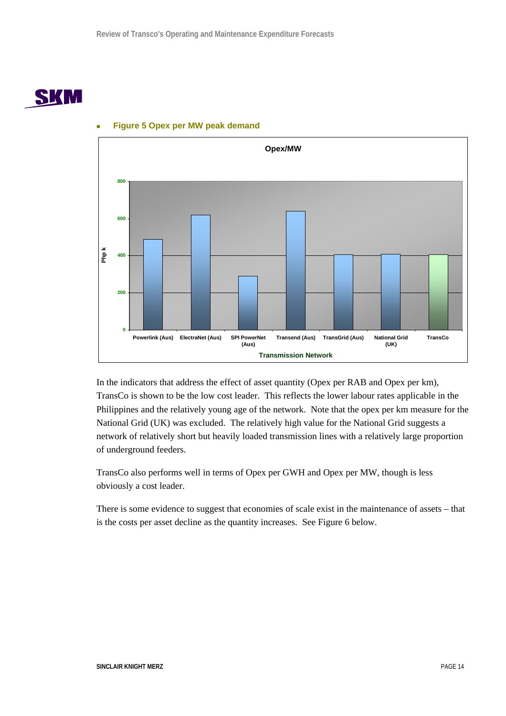



## **Figure 5 Opex per MW peak demand**

In the indicators that address the effect of asset quantity (Opex per RAB and Opex per km), TransCo is shown to be the low cost leader. This reflects the lower labour rates applicable in the Philippines and the relatively young age of the network. Note that the opex per km measure for the National Grid (UK) was excluded. The relatively high value for the National Grid suggests a network of relatively short but heavily loaded transmission lines with a relatively large proportion of underground feeders.

TransCo also performs well in terms of Opex per GWH and Opex per MW, though is less obviously a cost leader.

There is some evidence to suggest that economies of scale exist in the maintenance of assets – that is the costs per asset decline as the quantity increases. See Figure 6 below.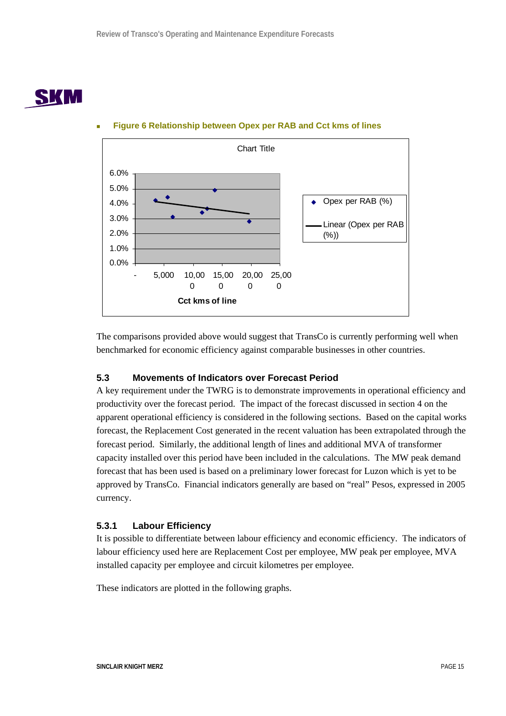

## **Figure 6 Relationship between Opex per RAB and Cct kms of lines**



The comparisons provided above would suggest that TransCo is currently performing well when benchmarked for economic efficiency against comparable businesses in other countries.

## **5.3 Movements of Indicators over Forecast Period**

A key requirement under the TWRG is to demonstrate improvements in operational efficiency and productivity over the forecast period. The impact of the forecast discussed in section 4 on the apparent operational efficiency is considered in the following sections. Based on the capital works forecast, the Replacement Cost generated in the recent valuation has been extrapolated through the forecast period. Similarly, the additional length of lines and additional MVA of transformer capacity installed over this period have been included in the calculations. The MW peak demand forecast that has been used is based on a preliminary lower forecast for Luzon which is yet to be approved by TransCo. Financial indicators generally are based on "real" Pesos, expressed in 2005 currency.

## **5.3.1 Labour Efficiency**

It is possible to differentiate between labour efficiency and economic efficiency. The indicators of labour efficiency used here are Replacement Cost per employee, MW peak per employee, MVA installed capacity per employee and circuit kilometres per employee.

These indicators are plotted in the following graphs.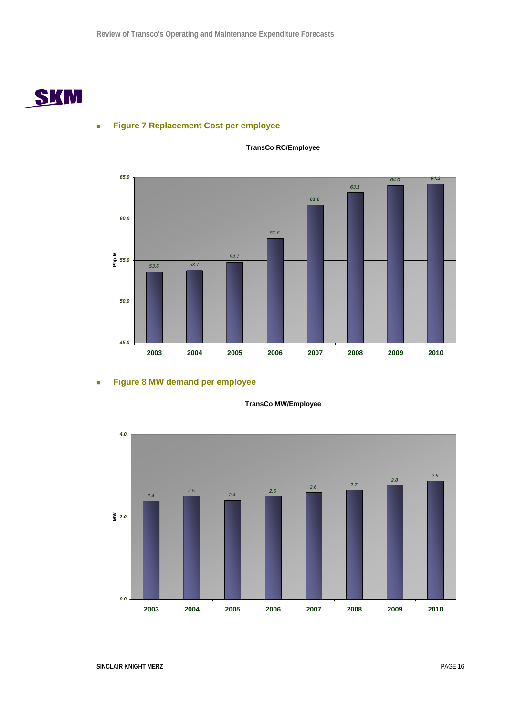

## **Figure 7 Replacement Cost per employee**



## **TransCo RC/Employee**

## **Figure 8 MW demand per employee**



**TransCo MW/Employee**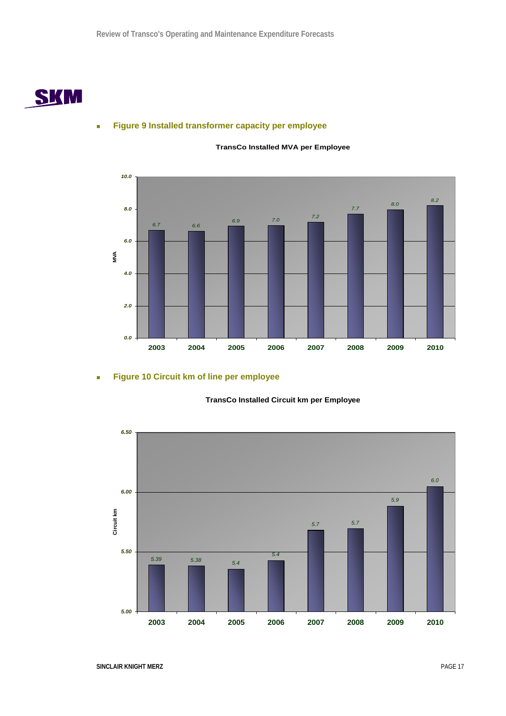

## **Figure 9 Installed transformer capacity per employee**



## **TransCo Installed MVA per Employee**

## **Figure 10 Circuit km of line per employee**



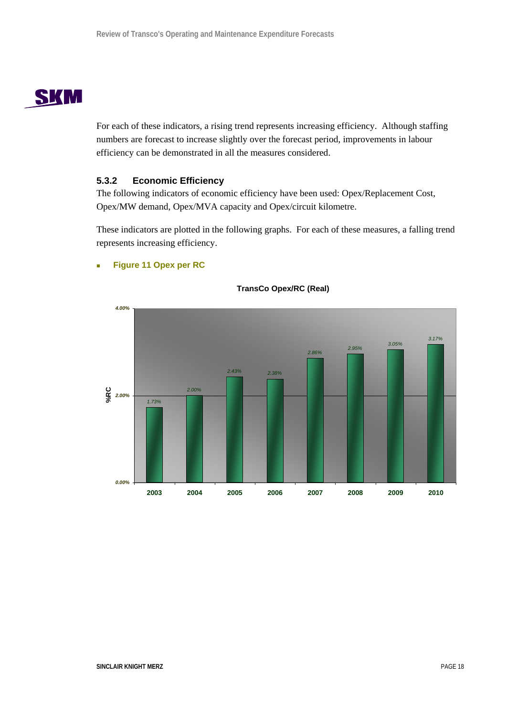# **SKM**

For each of these indicators, a rising trend represents increasing efficiency. Although staffing numbers are forecast to increase slightly over the forecast period, improvements in labour efficiency can be demonstrated in all the measures considered.

## **5.3.2 Economic Efficiency**

The following indicators of economic efficiency have been used: Opex/Replacement Cost, Opex/MW demand, Opex/MVA capacity and Opex/circuit kilometre.

These indicators are plotted in the following graphs. For each of these measures, a falling trend represents increasing efficiency.



## **Figure 11 Opex per RC**

**TransCo Opex/RC (Real)**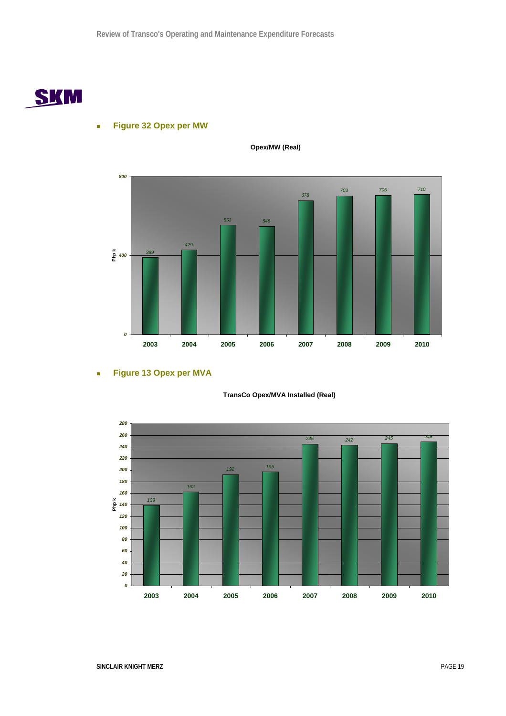

## **Figure 32 Opex per MW**



**Opex/MW (Real)**

## **Figure 13 Opex per MVA**

## **TransCo Opex/MVA Installed (Real)**

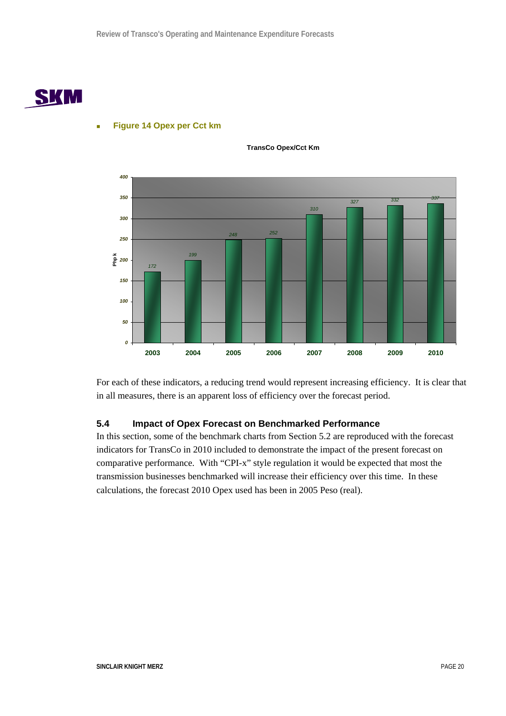



## **Figure 14 Opex per Cct km**

**TransCo Opex/Cct Km**

For each of these indicators, a reducing trend would represent increasing efficiency. It is clear that in all measures, there is an apparent loss of efficiency over the forecast period.

## **5.4 Impact of Opex Forecast on Benchmarked Performance**

In this section, some of the benchmark charts from Section 5.2 are reproduced with the forecast indicators for TransCo in 2010 included to demonstrate the impact of the present forecast on comparative performance. With "CPI-x" style regulation it would be expected that most the transmission businesses benchmarked will increase their efficiency over this time. In these calculations, the forecast 2010 Opex used has been in 2005 Peso (real).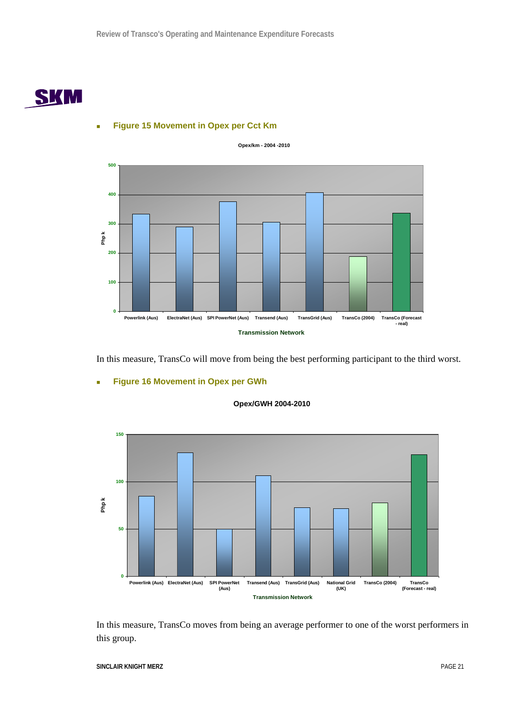

## **Opex/km - 2004 -2010 0 100 200 300 400 500 Powerlink (Aus) ElectraNet (Aus) SPI PowerNet (Aus) Transend (Aus) TransGrid (Aus) TransCo (2004) TransCo (Forecast - real) Transmission Network Php k**

**Figure 15 Movement in Opex per Cct Km** 

**Figure 16 Movement in Opex per GWh** 

In this measure, TransCo will move from being the best performing participant to the third worst.



**Opex/GWH 2004-2010**

In this measure, TransCo moves from being an average performer to one of the worst performers in this group.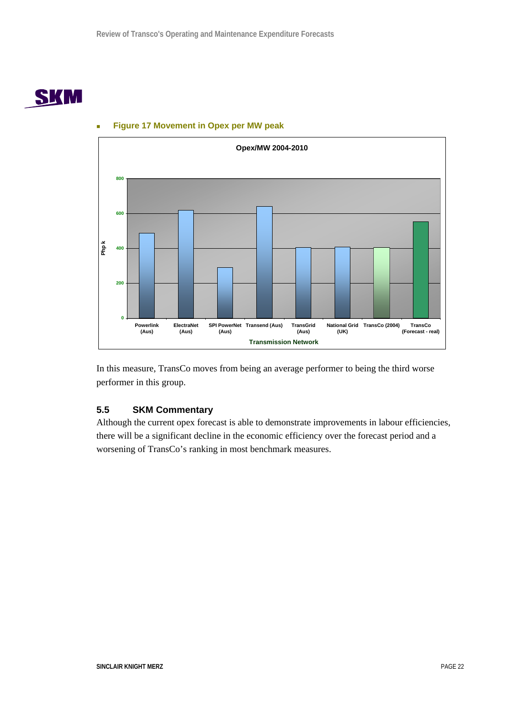



## **Figure 17 Movement in Opex per MW peak**

In this measure, TransCo moves from being an average performer to being the third worse performer in this group.

## **5.5 SKM Commentary**

Although the current opex forecast is able to demonstrate improvements in labour efficiencies, there will be a significant decline in the economic efficiency over the forecast period and a worsening of TransCo's ranking in most benchmark measures.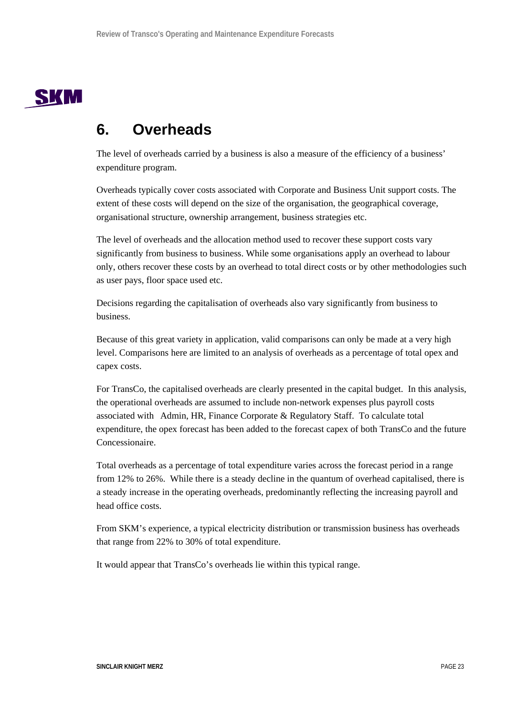

## **6. Overheads**

The level of overheads carried by a business is also a measure of the efficiency of a business' expenditure program.

Overheads typically cover costs associated with Corporate and Business Unit support costs. The extent of these costs will depend on the size of the organisation, the geographical coverage, organisational structure, ownership arrangement, business strategies etc.

The level of overheads and the allocation method used to recover these support costs vary significantly from business to business. While some organisations apply an overhead to labour only, others recover these costs by an overhead to total direct costs or by other methodologies such as user pays, floor space used etc.

Decisions regarding the capitalisation of overheads also vary significantly from business to business.

Because of this great variety in application, valid comparisons can only be made at a very high level. Comparisons here are limited to an analysis of overheads as a percentage of total opex and capex costs.

For TransCo, the capitalised overheads are clearly presented in the capital budget. In this analysis, the operational overheads are assumed to include non-network expenses plus payroll costs associated with Admin, HR, Finance Corporate & Regulatory Staff. To calculate total expenditure, the opex forecast has been added to the forecast capex of both TransCo and the future Concessionaire.

Total overheads as a percentage of total expenditure varies across the forecast period in a range from 12% to 26%. While there is a steady decline in the quantum of overhead capitalised, there is a steady increase in the operating overheads, predominantly reflecting the increasing payroll and head office costs.

From SKM's experience, a typical electricity distribution or transmission business has overheads that range from 22% to 30% of total expenditure.

It would appear that TransCo's overheads lie within this typical range.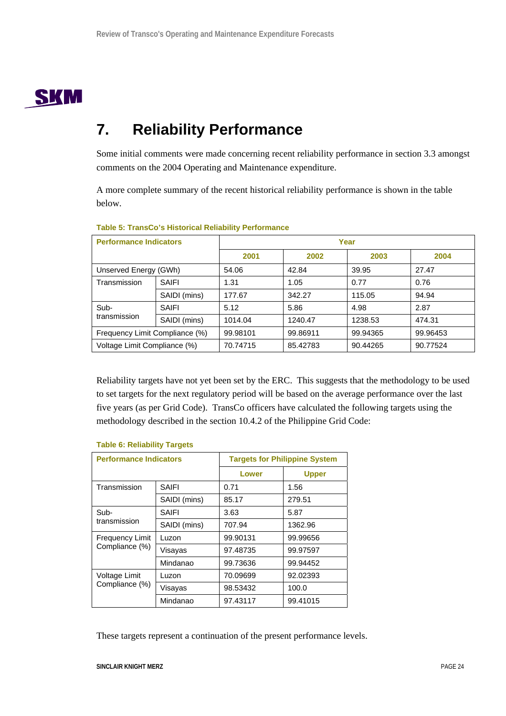

## **7. Reliability Performance**

Some initial comments were made concerning recent reliability performance in section 3.3 amongst comments on the 2004 Operating and Maintenance expenditure.

A more complete summary of the recent historical reliability performance is shown in the table below.

| <b>Performance Indicators</b>  |              | Year     |          |          |          |  |  |
|--------------------------------|--------------|----------|----------|----------|----------|--|--|
|                                |              | 2001     | 2002     | 2003     | 2004     |  |  |
| Unserved Energy (GWh)          |              | 54.06    | 42.84    | 39.95    | 27.47    |  |  |
| Transmission                   | <b>SAIFI</b> | 1.31     | 1.05     | 0.77     | 0.76     |  |  |
|                                | SAIDI (mins) | 177.67   | 342.27   | 115.05   | 94.94    |  |  |
| Sub-                           | SAIFI        | 5.12     | 5.86     | 4.98     | 2.87     |  |  |
| transmission                   | SAIDI (mins) | 1014.04  | 1240.47  | 1238.53  | 474.31   |  |  |
| Frequency Limit Compliance (%) |              | 99.98101 | 99.86911 | 99.94365 | 99.96453 |  |  |
| Voltage Limit Compliance (%)   |              | 70.74715 | 85.42783 | 90.44265 | 90.77524 |  |  |

## **Table 5: TransCo's Historical Reliability Performance**

Reliability targets have not yet been set by the ERC. This suggests that the methodology to be used to set targets for the next regulatory period will be based on the average performance over the last five years (as per Grid Code). TransCo officers have calculated the following targets using the methodology described in the section 10.4.2 of the Philippine Grid Code:

| <b>Performance Indicators</b> |              | <b>Targets for Philippine System</b> |              |  |
|-------------------------------|--------------|--------------------------------------|--------------|--|
|                               |              | Lower                                | <b>Upper</b> |  |
| Transmission                  | SAIFI        | 0.71                                 | 1.56         |  |
|                               | SAIDI (mins) | 85.17                                | 279.51       |  |
| Sub-                          | SAIFI        | 3.63                                 | 5.87         |  |
| transmission                  | SAIDI (mins) | 707.94                               | 1362.96      |  |
| <b>Frequency Limit</b>        | Luzon        | 99.90131                             | 99.99656     |  |
| Compliance (%)                | Visayas      | 97.48735                             | 99.97597     |  |
|                               | Mindanao     | 99.73636                             | 99.94452     |  |
| Voltage Limit                 | Luzon        | 70.09699                             | 92.02393     |  |
| Compliance (%)                | Visayas      | 98.53432                             | 100.0        |  |
|                               | Mindanao     | 97.43117                             | 99.41015     |  |

## **Table 6: Reliability Targets**

These targets represent a continuation of the present performance levels.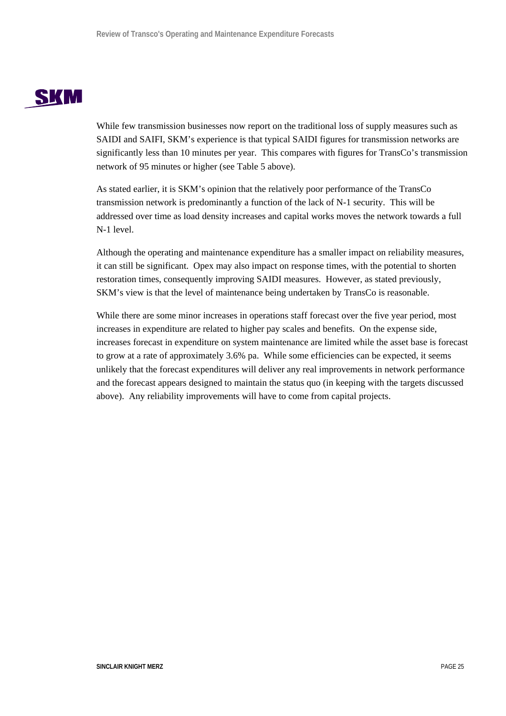# **SKM**

While few transmission businesses now report on the traditional loss of supply measures such as SAIDI and SAIFI, SKM's experience is that typical SAIDI figures for transmission networks are significantly less than 10 minutes per year. This compares with figures for TransCo's transmission network of 95 minutes or higher (see Table 5 above).

As stated earlier, it is SKM's opinion that the relatively poor performance of the TransCo transmission network is predominantly a function of the lack of N-1 security. This will be addressed over time as load density increases and capital works moves the network towards a full N-1 level.

Although the operating and maintenance expenditure has a smaller impact on reliability measures, it can still be significant. Opex may also impact on response times, with the potential to shorten restoration times, consequently improving SAIDI measures. However, as stated previously, SKM's view is that the level of maintenance being undertaken by TransCo is reasonable.

While there are some minor increases in operations staff forecast over the five year period, most increases in expenditure are related to higher pay scales and benefits. On the expense side, increases forecast in expenditure on system maintenance are limited while the asset base is forecast to grow at a rate of approximately 3.6% pa. While some efficiencies can be expected, it seems unlikely that the forecast expenditures will deliver any real improvements in network performance and the forecast appears designed to maintain the status quo (in keeping with the targets discussed above). Any reliability improvements will have to come from capital projects.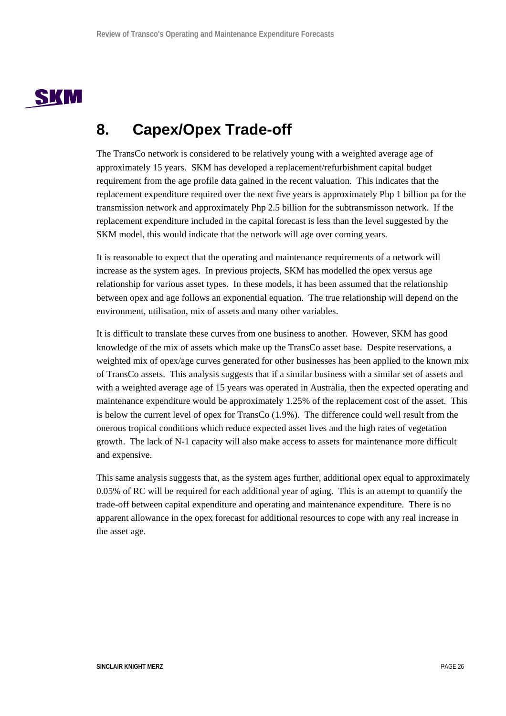

## **8. Capex/Opex Trade-off**

The TransCo network is considered to be relatively young with a weighted average age of approximately 15 years. SKM has developed a replacement/refurbishment capital budget requirement from the age profile data gained in the recent valuation. This indicates that the replacement expenditure required over the next five years is approximately Php 1 billion pa for the transmission network and approximately Php 2.5 billion for the subtransmisson network. If the replacement expenditure included in the capital forecast is less than the level suggested by the SKM model, this would indicate that the network will age over coming years.

It is reasonable to expect that the operating and maintenance requirements of a network will increase as the system ages. In previous projects, SKM has modelled the opex versus age relationship for various asset types. In these models, it has been assumed that the relationship between opex and age follows an exponential equation. The true relationship will depend on the environment, utilisation, mix of assets and many other variables.

It is difficult to translate these curves from one business to another. However, SKM has good knowledge of the mix of assets which make up the TransCo asset base. Despite reservations, a weighted mix of opex/age curves generated for other businesses has been applied to the known mix of TransCo assets. This analysis suggests that if a similar business with a similar set of assets and with a weighted average age of 15 years was operated in Australia, then the expected operating and maintenance expenditure would be approximately 1.25% of the replacement cost of the asset. This is below the current level of opex for TransCo (1.9%). The difference could well result from the onerous tropical conditions which reduce expected asset lives and the high rates of vegetation growth. The lack of N-1 capacity will also make access to assets for maintenance more difficult and expensive.

This same analysis suggests that, as the system ages further, additional opex equal to approximately 0.05% of RC will be required for each additional year of aging. This is an attempt to quantify the trade-off between capital expenditure and operating and maintenance expenditure. There is no apparent allowance in the opex forecast for additional resources to cope with any real increase in the asset age.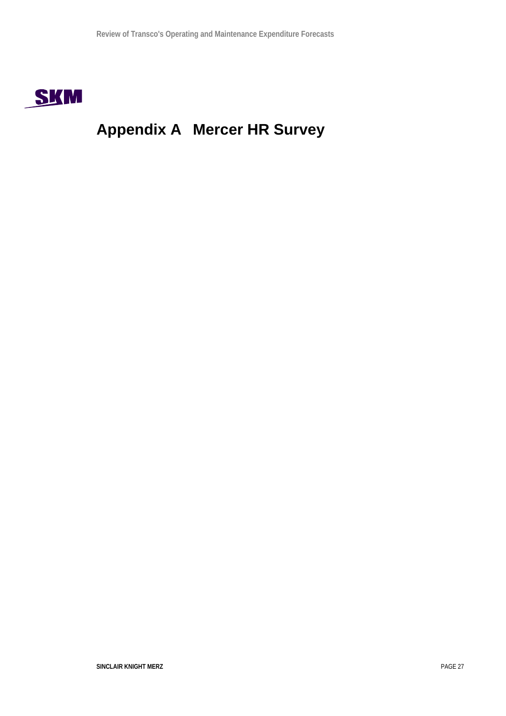

# **Appendix A Mercer HR Survey**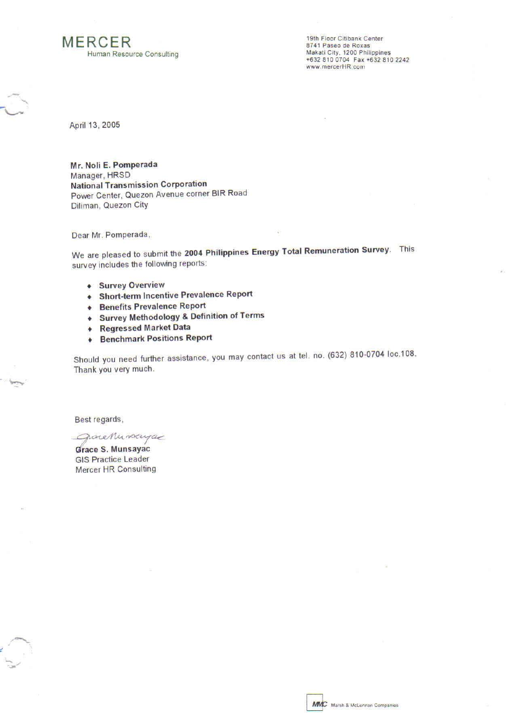# **MERCER**

Human Resource Consulting

19th Floor Citibank Center 8741 Paseo de Roxas<br>Makati City, 1200 Philippines +632 810 0704 Fax +632 810 2242 www.mercerHR.com

April 13, 2005

Mr. Noli E. Pomperada Manager, HRSD **National Transmission Corporation** Power Center, Quezon Avenue corner BIR Road Diliman, Quezon City

Dear Mr. Pomperada,

We are pleased to submit the 2004 Philippines Energy Total Remuneration Survey. This survey includes the following reports:

- **+ Survey Overview**
- **Short-term Incentive Prevalence Report**
- **+ Benefits Prevalence Report**
- + Survey Methodology & Definition of Terms
- **+ Regressed Market Data**
- **+ Benchmark Positions Report**

Should you need further assistance, you may contact us at tel. no. (632) 810-0704 loc.108. Thank you very much.

Best regards,

graceMunscriptic

Grace S. Munsayac **GIS Practice Leader** Mercer HR Consulting

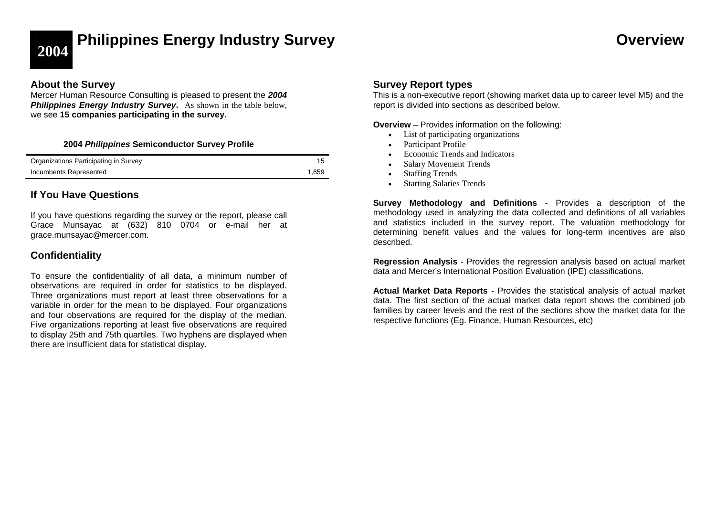

# **2004 Philippines Energy Industry Survey Overview**

## **About the Survey**

Mercer Human Resource Consulting is pleased to present the *2004*  **Philippines Energy Industry Survey.** As shown in the table below, we see **15 companies participating in the survey.** 

## **2004** *Philippines* **Semiconductor Survey Profile**

| Organizations Participating in Survey |       |
|---------------------------------------|-------|
| Incumbents Represented                | 1.659 |

## **If You Have Questions**

If you have questions regarding the survey or the report, please call Grace Munsayac at (632) 810 0704 or e-mail her at grace.munsayac@mercer.com.

## **Confidentiality**

To ensure the confidentiality of all data, a minimum number of observations are required in order for statistics to be displayed. Three organizations must report at least three observations for a variable in order for the mean to be displayed. Four organizations and four observations are required for the display of the median. Five organizations reporting at least five observations are required to display 25th and 75th quartiles. Two hyphens are displayed when there are insufficient data for statistical display.

## **Survey Report types**

This is a non-executive report (showing market data up to career level M5) and the report is divided into sections as described below.

**Overview** – Provides information on the following:

- List of participating organizations
- •Participant Profile
- •Economic Trends and Indicators
- •Salary Movement Trends
- •Staffing Trends
- •Starting Salaries Trends

**Survey Methodology and Definitions** - Provides a description of the methodology used in analyzing the data collected and definitions of all variables and statistics included in the survey report. The valuation methodology for determining benefit values and the values for long-term incentives are also described.

**Regression Analysis** - Provides the regression analysis based on actual market data and Mercer's International Position Evaluation (IPE) classifications.

**Actual Market Data Reports** - Provides the statistical analysis of actual market data. The first section of the actual market data report shows the combined job families by career levels and the rest of the sections show the market data for the respective functions (Eg. Finance, Human Resources, etc)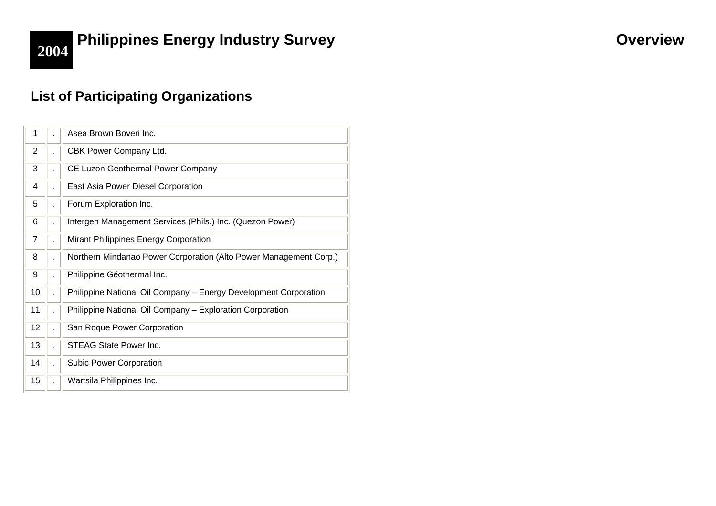

# **2004 Philippines Energy Industry Survey <b>CONSCRIPTION CONSCRIPTION Overview**

## **List of Participating Organizations**

| 1  | Asea Brown Boveri Inc.                                            |
|----|-------------------------------------------------------------------|
| 2  | CBK Power Company Ltd.                                            |
| 3  | CE Luzon Geothermal Power Company                                 |
| 4  | East Asia Power Diesel Corporation                                |
| 5  | Forum Exploration Inc.                                            |
| 6  | Intergen Management Services (Phils.) Inc. (Quezon Power)         |
| 7  | Mirant Philippines Energy Corporation                             |
| 8  | Northern Mindanao Power Corporation (Alto Power Management Corp.) |
| 9  | Philippine Géothermal Inc.                                        |
| 10 | Philippine National Oil Company - Energy Development Corporation  |
| 11 | Philippine National Oil Company - Exploration Corporation         |
| 12 | San Roque Power Corporation                                       |
| 13 | <b>STEAG State Power Inc.</b>                                     |
| 14 | <b>Subic Power Corporation</b>                                    |
| 15 | Wartsila Philippines Inc.                                         |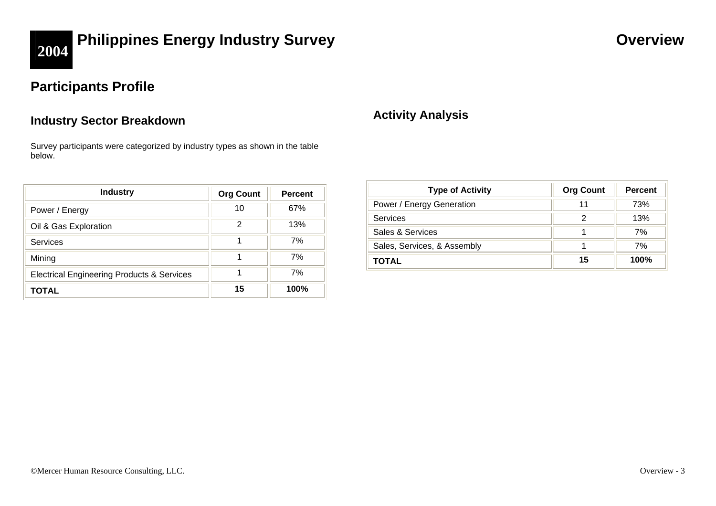

# **2004 Philippines Energy Industry Survey <b>CONSISTENT CONSISTENT CONSISTENT CONSISTENT CONSISTENT CONSISTENT**

## **Participants Profile**

## **Industry Sector Breakdown**

Survey participants were categorized by industry types as shown in the table below.

| <b>Industry</b>                                       | <b>Org Count</b> | <b>Percent</b> |
|-------------------------------------------------------|------------------|----------------|
| Power / Energy                                        | 10               | 67%            |
| Oil & Gas Exploration                                 | 2                | 13%            |
| <b>Services</b>                                       |                  | 7%             |
| Mining                                                |                  | 7%             |
| <b>Electrical Engineering Products &amp; Services</b> |                  | 7%             |
| TOTAL                                                 | 15               | 100%           |

## **Activity Analysis**

| <b>Type of Activity</b>     | <b>Org Count</b> | <b>Percent</b> |
|-----------------------------|------------------|----------------|
| Power / Energy Generation   |                  | 73%            |
| Services                    |                  | 13%            |
| Sales & Services            |                  | 7%             |
| Sales, Services, & Assembly |                  | 7%             |
| TOTAL                       | 15               | <b>100%</b>    |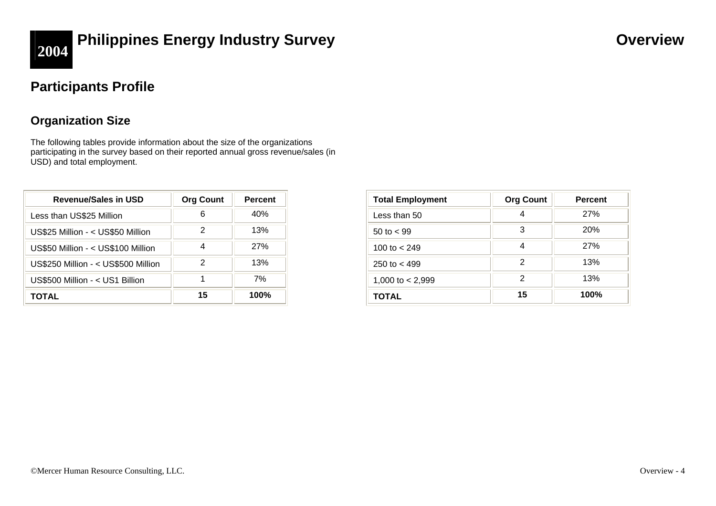

# **2004 Philippines Energy Industry Survey <b>COVER 2004 Overview**

## **Participants Profile**

## **Organization Size**

The following tables provide information about the size of the organizations participating in the survey based on their reported annual gross revenue/sales (in USD) and total employment.

| <b>Revenue/Sales in USD</b>         | <b>Org Count</b> | <b>Percent</b> |
|-------------------------------------|------------------|----------------|
| Less than US\$25 Million            | 6                | 40%            |
| US\$25 Million - < US\$50 Million   | 2                | 13%            |
| US\$50 Million - < US\$100 Million  | 4                | 27%            |
| US\$250 Million - < US\$500 Million | 2                | 13%            |
| US\$500 Million - < US1 Billion     | 1                | 7%             |
| ΤΟΤΑL                               | 15               | 100%           |

| <b>Total Employment</b> | <b>Org Count</b> | <b>Percent</b> |
|-------------------------|------------------|----------------|
| Less than 50            |                  | 27%            |
| 50 to $<$ 99            | 3                | <b>20%</b>     |
| 100 to $<$ 249          | 4                | 27%            |
| 250 to $<$ 499          | 2                | 13%            |
| 1,000 to $<$ 2,999      | 2                | 13%            |
| TOTAL                   | 15               | 100%           |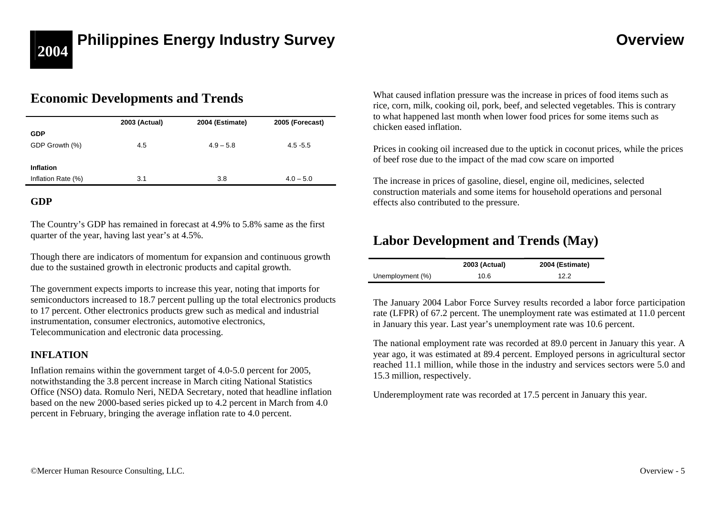# **2004 Philippines Energy Industry Survey <b>Access 2004 Construction Overview**

## **Economic Developments and Trends**

|                    | 2003 (Actual) | 2004 (Estimate) | 2005 (Forecast) |
|--------------------|---------------|-----------------|-----------------|
| <b>GDP</b>         |               |                 |                 |
| GDP Growth (%)     | 4.5           | $4.9 - 5.8$     | $4.5 - 5.5$     |
|                    |               |                 |                 |
| <b>Inflation</b>   |               |                 |                 |
| Inflation Rate (%) | 3.1           | 3.8             | $4.0 - 5.0$     |

## **GDP**

The Country's GDP has remained in forecast at 4.9% to 5.8% same as the first quarter of the year, having last year's at 4.5%.

Though there are indicators of momentum for expansion and continuous growth due to the sustained growth in electronic products and capital growth.

The government expects imports to increase this year, noting that imports for semiconductors increased to 18.7 percent pulling up the total electronics products to 17 percent. Other electronics products grew such as medical and industrial instrumentation, consumer electronics, automotive electronics, Telecommunication and electronic data processing.

## **INFLATION**

Inflation remains within the government target of 4.0-5.0 percent for 2005, notwithstanding the 3.8 percent increase in March citing National Statistics Office (NSO) data. Romulo Neri, NEDA Secretary, noted that headline inflation based on the new 2000-based series picked up to 4.2 percent in March from 4.0 percent in February, bringing the average inflation rate to 4.0 percent.

What caused inflation pressure was the increase in prices of food items such as rice, corn, milk, cooking oil, pork, beef, and selected vegetables. This is contrary to what happened last month when lower food prices for some items such as chicken eased inflation.

Prices in cooking oil increased due to the uptick in coconut prices, while the prices of beef rose due to the impact of the mad cow scare on imported

The increase in prices of gasoline, diesel, engine oil, medicines, selected construction materials and some items for household operations and personal effects also contributed to the pressure.

## **Labor Development and Trends (May)**

|                  | 2003 (Actual) | 2004 (Estimate) |
|------------------|---------------|-----------------|
| Unemployment (%) | 10.6          | 12.2            |

The January 2004 Labor Force Survey results recorded a labor force participation rate (LFPR) of 67.2 percent. The unemployment rate was estimated at 11.0 percent in January this year. Last year's unemployment rate was 10.6 percent.

The national employment rate was recorded at 89.0 percent in January this year. A year ago, it was estimated at 89.4 percent. Employed persons in agricultural sector reached 11.1 million, while those in the industry and services sectors were 5.0 and 15.3 million, respectively.

Underemployment rate was recorded at 17.5 percent in January this year.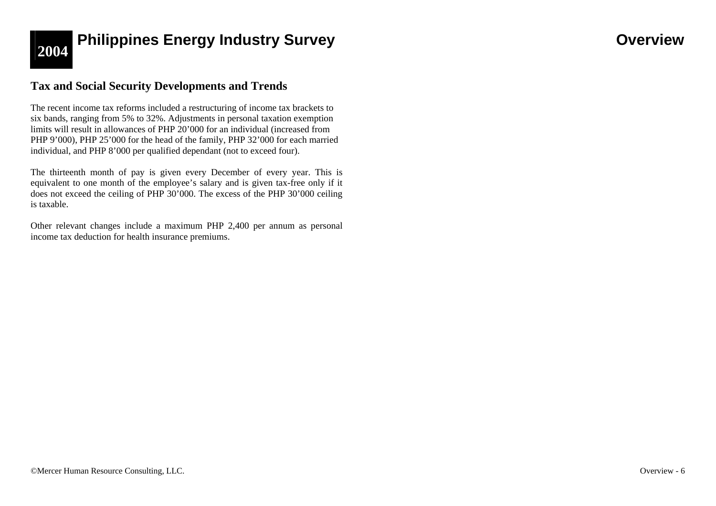

# **2004 Philippines Energy Industry Survey <b>Access 2004 Overview**

## **Tax and Social Security Developments and Trends**

The recent income tax reforms included a restructuring of income tax brackets to six bands, ranging from 5% to 32%. Adjustments in personal taxation exemption limits will result in allowances of PHP 20'000 for an individual (increased from PHP 9'000), PHP 25'000 for the head of the family, PHP 32'000 for each married individual, and PHP 8'000 per qualified dependant (not to exceed four).

The thirteenth month of pay is given every December of every year. This is equivalent to one month of the employee's salary and is given tax-free only if it does not exceed the ceiling of PHP 30'000. The excess of the PHP 30'000 ceiling is taxable.

Other relevant changes include a maximum PHP 2,400 per annum as personal income tax deduction for health insurance premiums.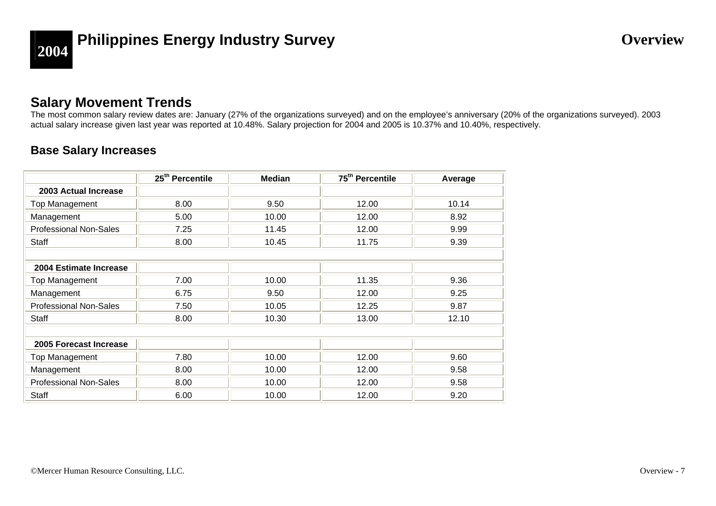

# **2004 Philippines Energy Industry Survey <b>COVER 2004** Overview

## **Salary Movement Trends**

The most common salary review dates are: January (27% of the organizations surveyed) and on the employee's anniversary (20% of the organizations surveyed). 2003 actual salary increase given last year was reported at 10.48%. Salary projection for 2004 and 2005 is 10.37% and 10.40%, respectively.

## **Base Salary Increases**

|                               | 25 <sup>th</sup> Percentile | <b>Median</b> | 75 <sup>th</sup> Percentile | Average |
|-------------------------------|-----------------------------|---------------|-----------------------------|---------|
| 2003 Actual Increase          |                             |               |                             |         |
| Top Management                | 8.00                        | 9.50          | 12.00                       | 10.14   |
| Management                    | 5.00                        | 10.00         | 12.00                       | 8.92    |
| <b>Professional Non-Sales</b> | 7.25                        | 11.45         | 12.00                       | 9.99    |
| Staff                         | 8.00                        | 10.45         | 11.75                       | 9.39    |
|                               |                             |               |                             |         |
| 2004 Estimate Increase        |                             |               |                             |         |
| Top Management                | 7.00                        | 10.00         | 11.35                       | 9.36    |
| Management                    | 6.75                        | 9.50          | 12.00                       | 9.25    |
| <b>Professional Non-Sales</b> | 7.50                        | 10.05         | 12.25                       | 9.87    |
| Staff                         | 8.00                        | 10.30         | 13.00                       | 12.10   |
|                               |                             |               |                             |         |
| 2005 Forecast Increase        |                             |               |                             |         |
| Top Management                | 7.80                        | 10.00         | 12.00                       | 9.60    |
| Management                    | 8.00                        | 10.00         | 12.00                       | 9.58    |
| <b>Professional Non-Sales</b> | 8.00                        | 10.00         | 12.00                       | 9.58    |
| Staff                         | 6.00                        | 10.00         | 12.00                       | 9.20    |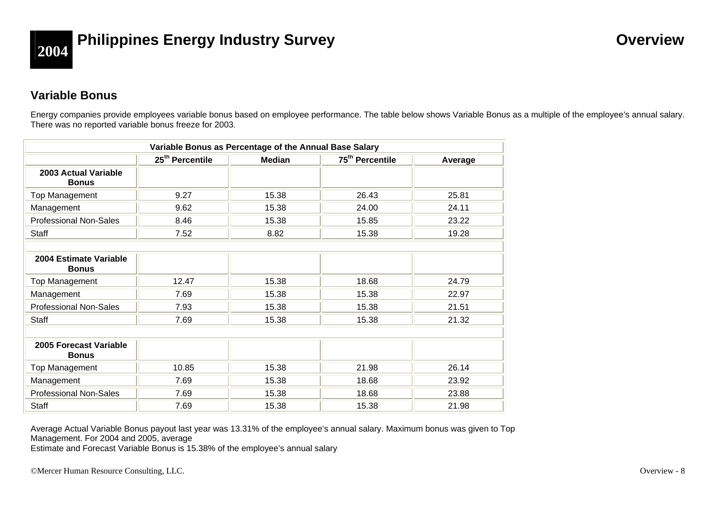

# **2004 Philippines Energy Industry Survey <b>Access 2004 Overview**

## **Variable Bonus**

Energy companies provide employees variable bonus based on employee performance. The table below shows Variable Bonus as a multiple of the employee's annual salary. There was no reported variable bonus freeze for 2003.

| Variable Bonus as Percentage of the Annual Base Salary |                                                                                        |       |       |       |  |  |
|--------------------------------------------------------|----------------------------------------------------------------------------------------|-------|-------|-------|--|--|
|                                                        | 25 <sup>th</sup> Percentile<br>75 <sup>th</sup> Percentile<br><b>Median</b><br>Average |       |       |       |  |  |
| 2003 Actual Variable<br><b>Bonus</b>                   |                                                                                        |       |       |       |  |  |
| Top Management                                         | 9.27                                                                                   | 15.38 | 26.43 | 25.81 |  |  |
| Management                                             | 9.62                                                                                   | 15.38 | 24.00 | 24.11 |  |  |
| <b>Professional Non-Sales</b>                          | 8.46                                                                                   | 15.38 | 15.85 | 23.22 |  |  |
| Staff                                                  | 7.52                                                                                   | 8.82  | 15.38 | 19.28 |  |  |
|                                                        |                                                                                        |       |       |       |  |  |
| 2004 Estimate Variable<br><b>Bonus</b>                 |                                                                                        |       |       |       |  |  |
| Top Management                                         | 12.47                                                                                  | 15.38 | 18.68 | 24.79 |  |  |
| Management                                             | 7.69                                                                                   | 15.38 | 15.38 | 22.97 |  |  |
| <b>Professional Non-Sales</b>                          | 7.93                                                                                   | 15.38 | 15.38 | 21.51 |  |  |
| <b>Staff</b>                                           | 7.69                                                                                   | 15.38 | 15.38 | 21.32 |  |  |
|                                                        |                                                                                        |       |       |       |  |  |
| 2005 Forecast Variable<br><b>Bonus</b>                 |                                                                                        |       |       |       |  |  |
| Top Management                                         | 10.85                                                                                  | 15.38 | 21.98 | 26.14 |  |  |
| Management                                             | 7.69                                                                                   | 15.38 | 18.68 | 23.92 |  |  |
| Professional Non-Sales                                 | 7.69                                                                                   | 15.38 | 18.68 | 23.88 |  |  |
| <b>Staff</b>                                           | 7.69                                                                                   | 15.38 | 15.38 | 21.98 |  |  |

Average Actual Variable Bonus payout last year was 13.31% of the employee's annual salary. Maximum bonus was given to Top Management. For 2004 and 2005, average

Estimate and Forecast Variable Bonus is 15.38% of the employee's annual salary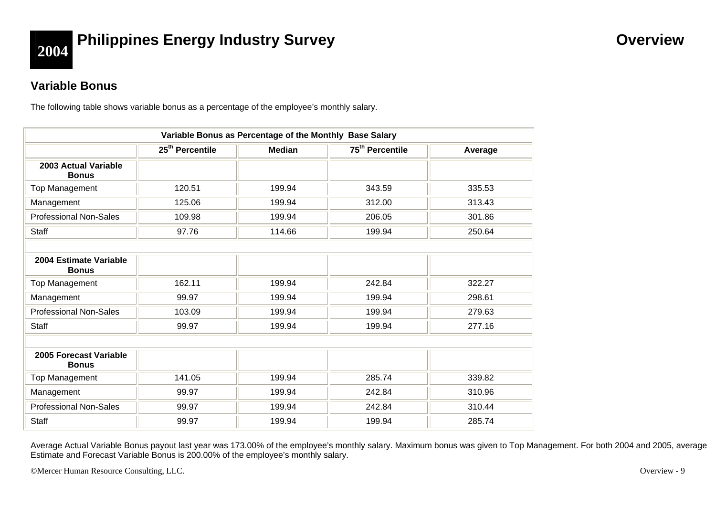

# **2004 Philippines Energy Industry Survey <b>COVER 2004 Overview**

## **Variable Bonus**

The following table shows variable bonus as a percentage of the employee's monthly salary.

| Variable Bonus as Percentage of the Monthly Base Salary |                                                                                        |        |        |        |  |  |
|---------------------------------------------------------|----------------------------------------------------------------------------------------|--------|--------|--------|--|--|
|                                                         | 75 <sup>th</sup> Percentile<br>25 <sup>th</sup> Percentile<br><b>Median</b><br>Average |        |        |        |  |  |
| 2003 Actual Variable<br><b>Bonus</b>                    |                                                                                        |        |        |        |  |  |
| Top Management                                          | 120.51                                                                                 | 199.94 | 343.59 | 335.53 |  |  |
| Management                                              | 125.06                                                                                 | 199.94 | 312.00 | 313.43 |  |  |
| <b>Professional Non-Sales</b>                           | 109.98                                                                                 | 199.94 | 206.05 | 301.86 |  |  |
| <b>Staff</b>                                            | 97.76                                                                                  | 114.66 | 199.94 | 250.64 |  |  |
|                                                         |                                                                                        |        |        |        |  |  |
| 2004 Estimate Variable<br><b>Bonus</b>                  |                                                                                        |        |        |        |  |  |
| Top Management                                          | 162.11                                                                                 | 199.94 | 242.84 | 322.27 |  |  |
| Management                                              | 99.97                                                                                  | 199.94 | 199.94 | 298.61 |  |  |
| <b>Professional Non-Sales</b>                           | 103.09                                                                                 | 199.94 | 199.94 | 279.63 |  |  |
| Staff                                                   | 99.97                                                                                  | 199.94 | 199.94 | 277.16 |  |  |
|                                                         |                                                                                        |        |        |        |  |  |
| 2005 Forecast Variable<br><b>Bonus</b>                  |                                                                                        |        |        |        |  |  |
| Top Management                                          | 141.05                                                                                 | 199.94 | 285.74 | 339.82 |  |  |
| Management                                              | 99.97                                                                                  | 199.94 | 242.84 | 310.96 |  |  |
| <b>Professional Non-Sales</b>                           | 99.97                                                                                  | 199.94 | 242.84 | 310.44 |  |  |
| Staff                                                   | 99.97                                                                                  | 199.94 | 199.94 | 285.74 |  |  |

Average Actual Variable Bonus payout last year was 173.00% of the employee's monthly salary. Maximum bonus was given to Top Management. For both 2004 and 2005, average Estimate and Forecast Variable Bonus is 200.00% of the employee's monthly salary.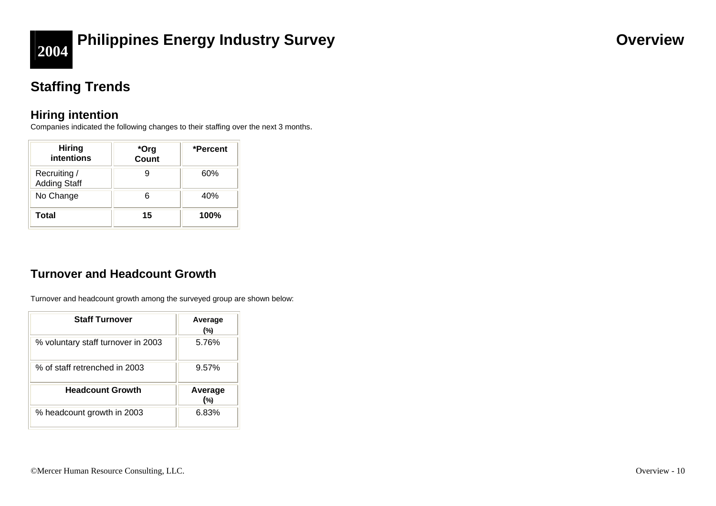

# **2004 Philippines Energy Industry Survey <b>COVER 2004 Overview**

## **Staffing Trends**

## **Hiring intention**

Companies indicated the following changes to their staffing over the next 3 months.

| <b>Hiring</b><br>intentions         | *Org<br>Count | *Percent |
|-------------------------------------|---------------|----------|
| Recruiting /<br><b>Adding Staff</b> |               | 60%      |
| No Change                           |               | 40%      |
| Total                               | 15            | 100%     |

## **Turnover and Headcount Growth**

Turnover and headcount growth among the surveyed group are shown below:

| <b>Staff Turnover</b>              | Average<br>(%) |
|------------------------------------|----------------|
| % voluntary staff turnover in 2003 | 5.76%          |
| % of staff retrenched in 2003      | 9.57%          |
| <b>Headcount Growth</b>            | Average<br>(%) |
| % headcount growth in 2003         | 6.83%          |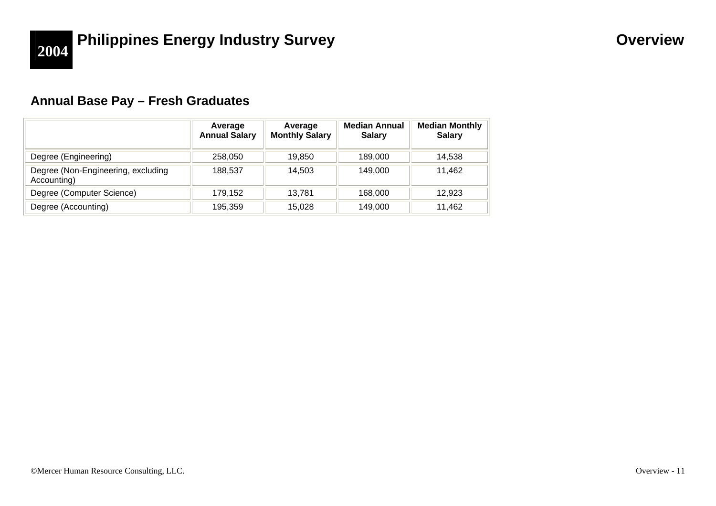## **Annual Base Pay – Fresh Graduates**

|                                                   | Average<br><b>Annual Salary</b> | Average<br><b>Monthly Salary</b> | <b>Median Annual</b><br><b>Salary</b> | <b>Median Monthly</b><br><b>Salary</b> |
|---------------------------------------------------|---------------------------------|----------------------------------|---------------------------------------|----------------------------------------|
| Degree (Engineering)                              | 258,050                         | 19.850                           | 189,000                               | 14.538                                 |
| Degree (Non-Engineering, excluding<br>Accounting) | 188.537                         | 14,503                           | 149,000                               | 11,462                                 |
| Degree (Computer Science)                         | 179.152                         | 13.781                           | 168,000                               | 12.923                                 |
| Degree (Accounting)                               | 195,359                         | 15,028                           | 149,000                               | 11,462                                 |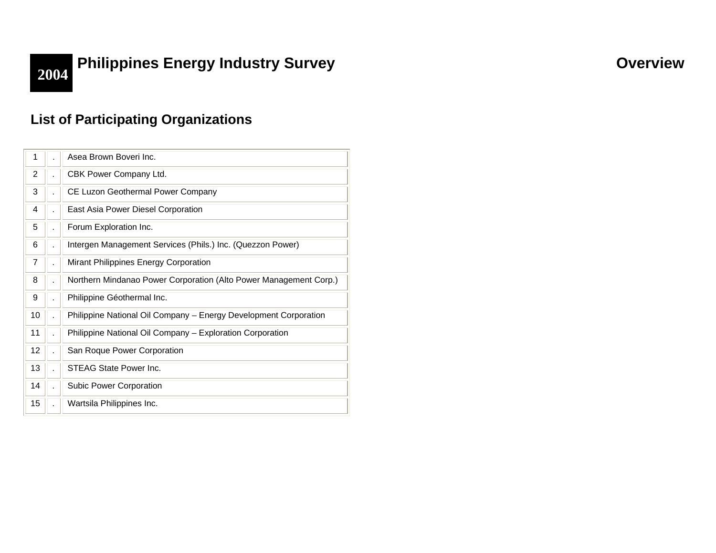# **2004 Philippines Energy Industry Survey <b>COVER 2004 Overview**

## **List of Participating Organizations**

| 1              | Asea Brown Boveri Inc.                                            |
|----------------|-------------------------------------------------------------------|
| $\overline{2}$ | CBK Power Company Ltd.                                            |
| 3              | CE Luzon Geothermal Power Company                                 |
| 4              | East Asia Power Diesel Corporation                                |
| 5              | Forum Exploration Inc.                                            |
| 6              | Intergen Management Services (Phils.) Inc. (Quezzon Power)        |
| 7              | Mirant Philippines Energy Corporation                             |
| 8              | Northern Mindanao Power Corporation (Alto Power Management Corp.) |
| 9              | Philippine Géothermal Inc.                                        |
| 10             | Philippine National Oil Company - Energy Development Corporation  |
| 11             | Philippine National Oil Company - Exploration Corporation         |
| 12             | San Roque Power Corporation                                       |
| 13             | STEAG State Power Inc.                                            |
| 14             | Subic Power Corporation                                           |
| 15             | Wartsila Philippines Inc.                                         |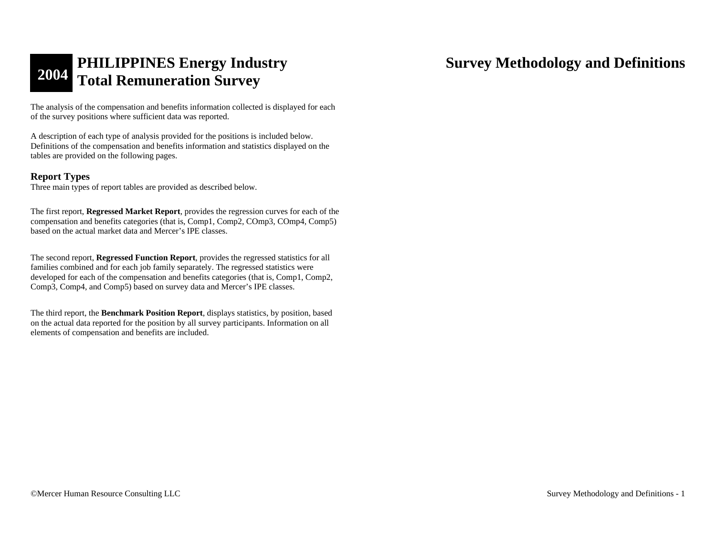The analysis of the compensation and benefits information collected is displayed for each of the survey positions where sufficient data was reported.

A description of each type of analysis provided for the positions is included below. Definitions of the compensation and benefits information and statistics displayed on the tables are provided on the following pages.

## **Report Types**

Three main types of report tables are provided as described below.

The first report, **Regressed Market Report**, provides the regression curves for each of the compensation and benefits categories (that is, Comp1, Comp2, COmp3, COmp4, Comp5) based on the actual market data and Mercer's IPE classes.

The second report, **Regressed Function Report**, provides the regressed statistics for all families combined and for each job family separately. The regressed statistics were developed for each of the compensation and benefits categories (that is, Comp1, Comp2, Comp3, Comp4, and Comp5) based on survey data and Mercer's IPE classes.

The third report, the **Benchmark Position Report**, displays statistics, by position, based on the actual data reported for the position by all survey participants. Information on all elements of compensation and benefits are included.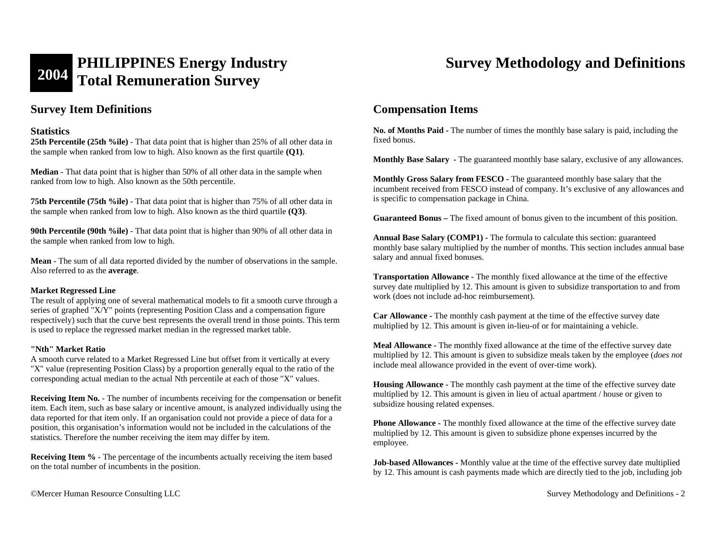# **2004 PHILIPPINES Energy Industry Total Remuneration Survey Survey Methodology and Definitions**

## **Survey Item Definitions**

## **Statistics**

**25th Percentile (25th %ile)** - That data point that is higher than 25% of all other data in the sample when ranked from low to high. Also known as the first quartile **(Q1)**.

**Median** - That data point that is higher than 50% of all other data in the sample when ranked from low to high. Also known as the 50th percentile.

**75th Percentile (75th %ile)** - That data point that is higher than 75% of all other data in the sample when ranked from low to high. Also known as the third quartile **(Q3)**.

**90th Percentile (90th %ile)** - That data point that is higher than 90% of all other data in the sample when ranked from low to high.

**Mean** - The sum of all data reported divided by the number of observations in the sample. Also referred to as the **average**.

### **Market Regressed Line**

The result of applying one of several mathematical models to fit a smooth curve through a series of graphed "X/Y" points (representing Position Class and a compensation figure respectively) such that the curve best represents the overall trend in those points. This term is used to replace the regressed market median in the regressed market table.

### **"Nth" Market Ratio**

A smooth curve related to a Market Regressed Line but offset from it vertically at every "X" value (representing Position Class) by a proportion generally equal to the ratio of the corresponding actual median to the actual Nth percentile at each of those "X" values.

**Receiving Item No.** - The number of incumbents receiving for the compensation or benefit item. Each item, such as base salary or incentive amount, is analyzed individually using the data reported for that item only. If an organisation could not provide a piece of data for a position, this organisation's information would not be included in the calculations of the statistics. Therefore the number receiving the item may differ by item.

**Receiving Item %** - The percentage of the incumbents actually receiving the item based on the total number of incumbents in the position.

## **Compensation Items**

**No. of Months Paid -** The number of times the monthly base salary is paid, including the fixed bonus.

**Monthly Base Salary -** The guaranteed monthly base salary, exclusive of any allowances.

**Monthly Gross Salary from FESCO -** The guaranteed monthly base salary that the incumbent received from FESCO instead of company. It's exclusive of any allowances and is specific to compensation package in China.

**Guaranteed Bonus –** The fixed amount of bonus given to the incumbent of this position.

**Annual Base Salary (COMP1) -** The formula to calculate this section: guaranteed monthly base salary multiplied by the number of months. This section includes annual base salary and annual fixed bonuses.

**Transportation Allowance -** The monthly fixed allowance at the time of the effective survey date multiplied by 12. This amount is given to subsidize transportation to and from work (does not include ad-hoc reimbursement).

**Car Allowance -** The monthly cash payment at the time of the effective survey date multiplied by 12. This amount is given in-lieu-of or for maintaining a vehicle.

**Meal Allowance -** The monthly fixed allowance at the time of the effective survey date multiplied by 12. This amount is given to subsidize meals taken by the employee (*does not*  include meal allowance provided in the event of over-time work).

**Housing Allowance -** The monthly cash payment at the time of the effective survey date multiplied by 12. This amount is given in lieu of actual apartment / house or given to subsidize housing related expenses.

**Phone Allowance -** The monthly fixed allowance at the time of the effective survey date multiplied by 12. This amount is given to subsidize phone expenses incurred by the employee.

**Job-based Allowances -** Monthly value at the time of the effective survey date multiplied by 12. This amount is cash payments made which are directly tied to the job, including job

©Mercer Human Resource Consulting LLC Survey Methodology and Definitions - 2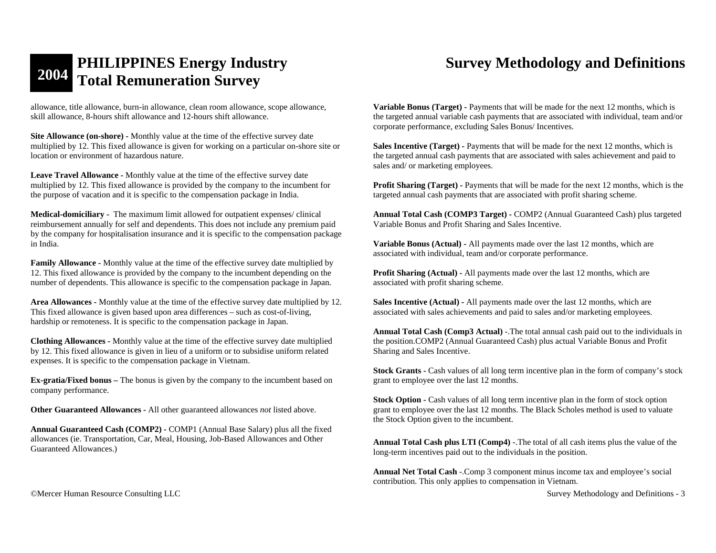allowance, title allowance, burn-in allowance, clean room allowance, scope allowance, skill allowance, 8-hours shift allowance and 12-hours shift allowance.

**Site Allowance (on-shore) -** Monthly value at the time of the effective survey date multiplied by 12. This fixed allowance is given for working on a particular on-shore site or location or environment of hazardous nature.

**Leave Travel Allowance -** Monthly value at the time of the effective survey date multiplied by 12. This fixed allowance is provided by the company to the incumbent for the purpose of vacation and it is specific to the compensation package in India.

**Medical-domiciliary -** The maximum limit allowed for outpatient expenses/ clinical reimbursement annually for self and dependents. This does not include any premium paid by the company for hospitalisation insurance and it is specific to the compensation package in India.

**Family Allowance -** Monthly value at the time of the effective survey date multiplied by 12. This fixed allowance is provided by the company to the incumbent depending on the number of dependents. This allowance is specific to the compensation package in Japan.

**Area Allowances -** Monthly value at the time of the effective survey date multiplied by 12. This fixed allowance is given based upon area differences – such as cost-of-living, hardship or remoteness. It is specific to the compensation package in Japan.

**Clothing Allowances -** Monthly value at the time of the effective survey date multiplied by 12. This fixed allowance is given in lieu of a uniform or to subsidise uniform related expenses. It is specific to the compensation package in Vietnam.

**Ex-gratia/Fixed bonus –** The bonus is given by the company to the incumbent based on company performance.

**Other Guaranteed Allowances -** All other guaranteed allowances *not* listed above.

**Annual Guaranteed Cash (COMP2)** *-* COMP1 (Annual Base Salary) plus all the fixed allowances (ie. Transportation, Car, Meal, Housing, Job-Based Allowances and Other Guaranteed Allowances.)

**Variable Bonus (Target) -** Payments that will be made for the next 12 months, which is the targeted annual variable cash payments that are associated with individual, team and/or corporate performance, excluding Sales Bonus/ Incentives.

**Sales Incentive (Target) -** Payments that will be made for the next 12 months, which is the targeted annual cash payments that are associated with sales achievement and paid to sales and/ or marketing employees.

**Profit Sharing (Target) - Payments that will be made for the next 12 months, which is the** targeted annual cash payments that are associated with profit sharing scheme.

**Annual Total Cash (COMP3 Target) -** COMP2 (Annual Guaranteed Cash) plus targeted Variable Bonus and Profit Sharing and Sales Incentive.

**Variable Bonus (Actual) -** All payments made over the last 12 months, which are associated with individual, team and/or corporate performance.

**Profit Sharing (Actual) -** All payments made over the last 12 months, which are associated with profit sharing scheme.

**Sales Incentive (Actual) -** All payments made over the last 12 months, which are associated with sales achievements and paid to sales and/or marketing employees.

**Annual Total Cash (Comp3 Actual)** -.The total annual cash paid out to the individuals in the position.COMP2 (Annual Guaranteed Cash) plus actual Variable Bonus and Profit Sharing and Sales Incentive.

**Stock Grants - Cash values of all long term incentive plan in the form of company's stock** grant to employee over the last 12 months.

**Stock Option - Cash values of all long term incentive plan in the form of stock option** grant to employee over the last 12 months. The Black Scholes method is used to valuate the Stock Option given to the incumbent.

**Annual Total Cash plus LTI (Comp4)** -.The total of all cash items plus the value of the long-term incentives paid out to the individuals in the position.

**Annual Net Total Cash** -.Comp 3 component minus income tax and employee's social contribution. This only applies to compensation in Vietnam.

©Mercer Human Resource Consulting LLC Survey Methodology and Definitions - 3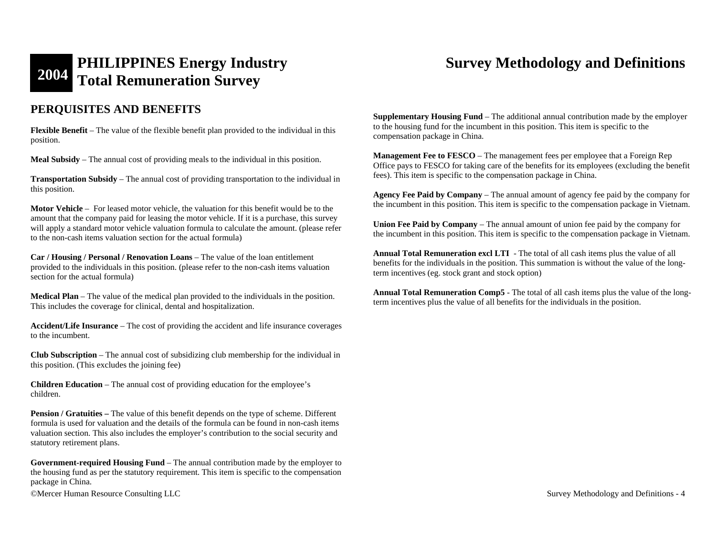## **PERQUISITES AND BENEFITS**

**Flexible Benefit** – The value of the flexible benefit plan provided to the individual in this position.

**Meal Subsidy** – The annual cost of providing meals to the individual in this position.

**Transportation Subsidy** – The annual cost of providing transportation to the individual in this position.

**Motor Vehicle** – For leased motor vehicle, the valuation for this benefit would be to the amount that the company paid for leasing the motor vehicle. If it is a purchase, this survey will apply a standard motor vehicle valuation formula to calculate the amount. (please refer to the non-cash items valuation section for the actual formula)

**Car / Housing / Personal / Renovation Loans** – The value of the loan entitlement provided to the individuals in this position. (please refer to the non-cash items valuation section for the actual formula)

**Medical Plan** – The value of the medical plan provided to the individuals in the position. This includes the coverage for clinical, dental and hospitalization.

**Accident/Life Insurance** – The cost of providing the accident and life insurance coverages to the incumbent.

**Club Subscription** – The annual cost of subsidizing club membership for the individual in this position. (This excludes the joining fee)

**Children Education** – The annual cost of providing education for the employee's children.

**Pension / Gratuities – The value of this benefit depends on the type of scheme. Different** formula is used for valuation and the details of the formula can be found in non-cash items valuation section. This also includes the employer's contribution to the social security and statutory retirement plans.

**Government-required Housing Fund** – The annual contribution made by the employer to the housing fund as per the statutory requirement. This item is specific to the compensation package in China.

©Mercer Human Resource Consulting LLC Survey Methodology and Definitions - 4

**Supplementary Housing Fund** – The additional annual contribution made by the employer to the housing fund for the incumbent in this position. This item is specific to the compensation package in China.

**Management Fee to FESCO** – The management fees per employee that a Foreign Rep Office pays to FESCO for taking care of the benefits for its employees (excluding the benefit fees). This item is specific to the compensation package in China.

**Agency Fee Paid by Company** – The annual amount of agency fee paid by the company for the incumbent in this position. This item is specific to the compensation package in Vietnam.

**Union Fee Paid by Company** – The annual amount of union fee paid by the company for the incumbent in this position. This item is specific to the compensation package in Vietnam.

**Annual Total Remuneration excl LTI** - The total of all cash items plus the value of all benefits for the individuals in the position. This summation is without the value of the longterm incentives (eg. stock grant and stock option)

**Annual Total Remuneration Comp5** - The total of all cash items plus the value of the longterm incentives plus the value of all benefits for the individuals in the position.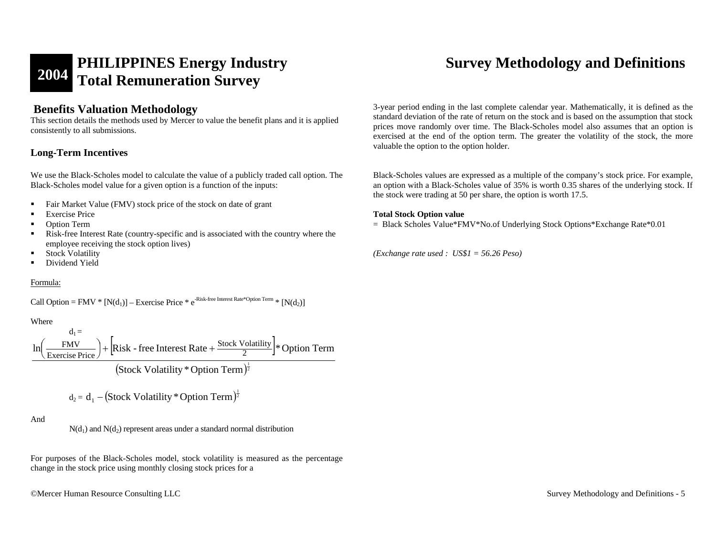## **Benefits Valuation Methodology**

This section details the methods used by Mercer to value the benefit plans and it is applied consistently to all submissions.

## **Long-Term Incentives**

We use the Black-Scholes model to calculate the value of a publicly traded call option. The Black-Scholes model value for a given option is a function of the inputs:

- $\blacksquare$ Fair Market Value (FMV) stock price of the stock on date of grant
- г Exercise Price
- $\blacksquare$ Option Term
- г Risk-free Interest Rate (country-specific and is associated with the country where the employee receiving the stock option lives)
- $\blacksquare$ Stock Volatility
- $\blacksquare$ Dividend Yield

## Formula:

Call Option = FMV \*  $[N(d_1)]$  – Exercise Price \* e<sup>-Risk-free Interest Rate\*Option Term</sup> \*  $[N(d_2)]$ 

Where

$$
\ln\left(\frac{\text{FMV}}{\text{Exercise Price}}\right) + \left[\text{Risk - free Interest Rate} + \frac{\text{Stock Volatility}}{2}\right] * \text{Option Term}
$$
\n
$$
\left(\text{Stock Volatility} * \text{Option Term}\right)^{\frac{1}{2}}
$$

$$
d_2 = d_1 - (Stock Volatility * Option Term)^{\frac{1}{2}}
$$

## And

 $N(d_1)$  and  $N(d_2)$  represent areas under a standard normal distribution

For purposes of the Black-Scholes model, stock volatility is measured as the percentage change in the stock price using monthly closing stock prices for a

©Mercer Human Resource Consulting LLC Survey Methodology and Definitions - 5

3-year period ending in the last complete calendar year. Mathematically, it is defined as the standard deviation of the rate of return on the stock and is based on the assumption that stock prices move randomly over time. The Black-Scholes model also assumes that an option is exercised at the end of the option term. The greater the volatility of the stock, the more valuable the option to the option holder.

Black-Scholes values are expressed as a multiple of the company's stock price. For example, an option with a Black-Scholes value of 35% is worth 0.35 shares of the underlying stock. If the stock were trading at 50 per share, the option is worth 17.5.

## **Total Stock Option value**

= Black Scholes Value\*FMV\*No.of Underlying Stock Options\*Exchange Rate\*0.01

*(Exchange rate used : US\$1 = 56.26 Peso)*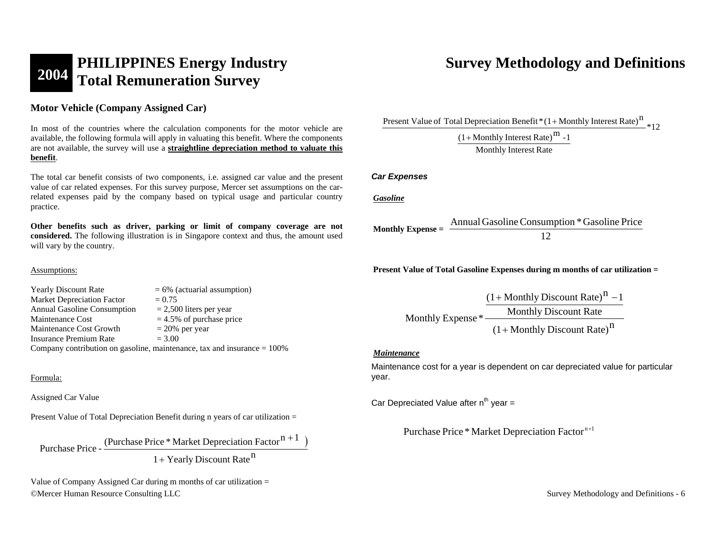# **2004 PHILIPPINES Energy Industry Total Remuneration Survey Survey Methodology and Definitions**

**Motor Vehicle (Company Assigned Car)** 

In most of the countries where the calculation components for the motor vehicle are available, the following formula will apply in valuating this benefit. Where the components are not available, the survey will use a **straightline depreciation method to valuate this benefit**.

The total car benefit consists of two components, i.e. assigned car value and the present value of car related expenses. For this survey purpose, Mercer set assumptions on the carrelated expenses paid by the company based on typical usage and particular country practice.

**Other benefits such as driver, parking or limit of company coverage are not considered.** The following illustration is in Singapore context and thus, the amount used will vary by the country.

## Assumptions:

Yearly Discount Rate  $= 6\%$  (actuarial assumption) Market Depreciation Factor  $= 0.75$ Annual Gasoline Consumption  $= 2,500$  liters per year Maintenance Cost  $= 4.5\%$  of purchase price Maintenance Cost Growth  $= 20\%$  per year Insurance Premium Rate  $= 3.00$ Company contribution on gasoline, maintenance, tax and insurance  $= 100\%$ 

## Formula:

Assigned Car Value

Present Value of Total Depreciation Benefit during n years of car utilization =

Purchase Price - (Purchase Price \* Market Depreciation Factor  $n+1$ ) +

 $1 +$  Yearly Discount Rate<sup>n</sup>

©Mercer Human Resource Consulting LLC Survey Methodology and Definitions - 6 Value of Company Assigned Car during m months of car utilization  $=$ 

\*12Present Value of Total Depreciation Benefit  $*(1+ \text{Monthly Interest Rate})^{\text{n}}$ 

> Monthly Interest Rate  $(1+$ Monthly Interest Rate)<sup>m</sup> -1

## *Car Expenses*

*Gasoline*

**Monthly Expense =**  $\frac{2 \text{ m} \times \text{m} \times \text{m}}{12}$ AnnualGasolineConsumption \*Gasoline Price

**Present Value of Total Gasoline Expenses during m months of car utilization =** 

 $(1+$ Monthly Discount Rate)<sup>n</sup> Monthly Discount Rate Monthly Expense \*  $(1+$ Monthly Discount Rate)<sup>n</sup> –1

### *Maintenance*

Maintenance cost for a year is dependent on car depreciated value for particular year.

Car Depreciated Value after  $n^{th}$  year =

Purchase Price \* Market Depreciation Factor<sup>n+1</sup>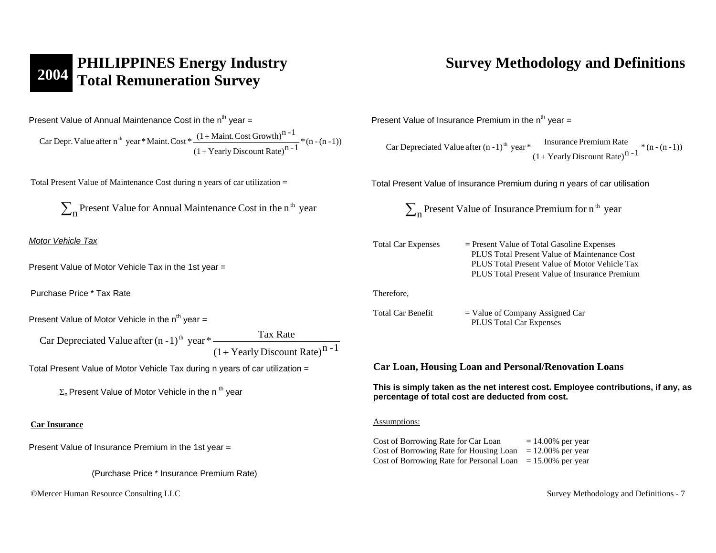# **2004 PHILIPPINES Energy Industry Survey Methodology and Definitions Total Remuneration Survey Survey Methodology and Definitions <b>Total Remuneration Survey**

Present Value of Annual Maintenance Cost in the  $n<sup>th</sup>$  year =

 $\frac{(n + \text{normal loss of } 10 \text{ m})}{(1 + \text{Yearly Discount Rate})^{n-1}}$  \* (n - (n - 1)) Car Depr. Value after n<sup>th</sup> year \* Maint. Cost \*  $\frac{(1 + \text{Maint. Cost Growth})^{n-1}}{n}$ + +

Total Present Value of Maintenance Cost during n years of car utilization =

 $\sum_{\bf n}$  Present Value for Annual Maintenance Cost in the n<sup>th</sup> year

*Motor Vehicle Tax*

Present Value of Motor Vehicle Tax in the 1st year =

Purchase Price \* Tax Rate

Present Value of Motor Vehicle in the  $n^{th}$  year =

 $(1 + Yearly Discount Rate)^{n-1}$ Car Depreciated Value after  $(n-1)^{th}$  year \* Tax Rate +

Total Present Value of Motor Vehicle Tax during n years of car utilization =

 $\Sigma_n$  Present Value of Motor Vehicle in the n<sup>th</sup> year

### **Car Insurance**

Present Value of Insurance Premium in the 1st year =

(Purchase Price \* Insurance Premium Rate)

©Mercer Human Resource Consulting LLC Survey Methodology and Definitions - 7

Present Value of Insurance Premium in the  $n^{th}$  year =

 $\frac{1}{(1 + \text{Yearly Discount Rate})^{n-1}} * (n - (n - 1))$ Car Depreciated Value after  $(n-1)^{th}$  year  $*$   $\frac{1}{n}$  Insurance Premium Rate +

Total Present Value of Insurance Premium during n years of car utilisation

 $\sum_{\bf n}$  Present Value of Insurance Premium for n  $^{\rm th}$  year

Total Car Expenses = Present Value of Total Gasoline Expenses PLUS Total Present Value of Maintenance Cost PLUS Total Present Value of Motor Vehicle Tax PLUS Total Present Value of Insurance Premium

Therefore,

Total Car Benefit  $=$  Value of Company Assigned Car PLUS Total Car Expenses

**Car Loan, Housing Loan and Personal/Renovation Loans** 

**This is simply taken as the net interest cost. Employee contributions, if any, as percentage of total cost are deducted from cost.** 

### Assumptions:

Cost of Borrowing Rate for Car Loan  $= 14.00\%$  per year Cost of Borrowing Rate for Housing Loan  $= 12.00\%$  per year Cost of Borrowing Rate for Personal Loan  $= 15.00\%$  per year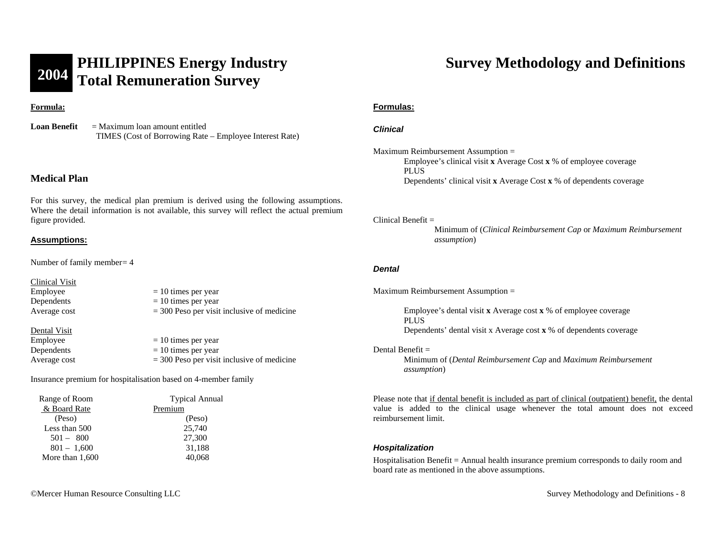### **Formula:**

**Loan Benefit** = Maximum loan amount entitled TIMES (Cost of Borrowing Rate – Employee Interest Rate)

## **Medical Plan**

For this survey, the medical plan premium is derived using the following assumptions. Where the detail information is not available, this survey will reflect the actual premium figure provided.

## **Assumptions:**

Number of family member = 4

### Clinical Visit

 $\text{Employee} = 10 \text{ times per year}$ Dependents  $= 10$  times per year Average cost  $= 300$  Peso per visit inclusive of medicine Dental Visit  $\epsilon$  Employee  $= 10$  times per year Dependents  $= 10$  times per year

Average cost  $= 300$  Peso per visit inclusive of medicine

Insurance premium for hospitalisation based on 4-member family

| Range of Room     | <b>Typical Annual</b> |
|-------------------|-----------------------|
| & Board Rate      | Premium               |
| (Peso)            | (Peso)                |
| Less than 500     | 25,740                |
| $501 - 800$       | 27,300                |
| $801 - 1,600$     | 31,188                |
| More than $1,600$ | 40,068                |
|                   |                       |

### **Formulas:**

## *Clinical*

Maximum Reimbursement Assumption = Employee's clinical visit **x** Average Cost **x** % of employee coverage PLUS Dependents' clinical visit **x** Average Cost **x** % of dependents coverage

### Clinical Benefit  $=$

Minimum of (*Clinical Reimbursement Cap* or *Maximum Reimbursement assumption*)

### *Dental*

Maximum Reimbursement Assumption =

 Employee's dental visit **x** Average cost **x** % of employee coverage PLUS Dependents' dental visit x Average cost **x** % of dependents coverage

### Dental Benefit  $=$

Minimum of (*Dental Reimbursement Cap* and *Maximum Reimbursement assumption*)

Please note that if dental benefit is included as part of clinical (outpatient) benefit, the dental value is added to the clinical usage whenever the total amount does not exceed reimbursement limit.

### *Hospitalization*

Hospitalisation Benefit = Annual health insurance premium corresponds to daily room and board rate as mentioned in the above assumptions.

©Mercer Human Resource Consulting LLC Survey Methodology and Definitions - 8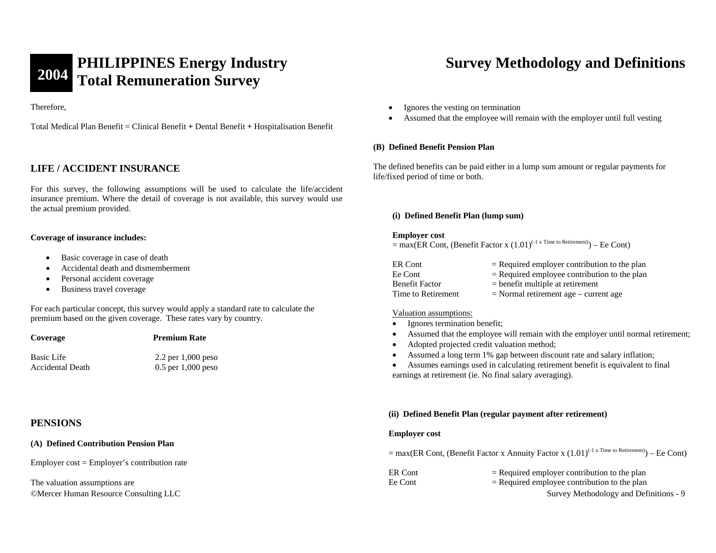Therefore,

Total Medical Plan Benefit = Clinical Benefit **+** Dental Benefit **+** Hospitalisation Benefit

## **LIFE / ACCIDENT INSURANCE**

For this survey, the following assumptions will be used to calculate the life/accident insurance premium. Where the detail of coverage is not available, this survey would use the actual premium provided.

### **Coverage of insurance includes:**

- •Basic coverage in case of death
- •Accidental death and dismemberment
- •Personal accident coverage
- •Business travel coverage

For each particular concept, this survey would apply a standard rate to calculate the premium based on the given coverage. These rates vary by country.

| Coverage          | <b>Premium Rate</b>  |
|-------------------|----------------------|
| <b>Basic Life</b> | 2.2 per $1,000$ peso |
| Accidental Death  | $0.5$ per 1.000 peso |

## **PENSIONS**

### **(A) Defined Contribution Pension Plan**

Employer cost = Employer's contribution rate

©Mercer Human Resource Consulting LLC Survey Methodology and Definitions - 9 The valuation assumptions are

- •Ignores the vesting on termination
- •Assumed that the employee will remain with the employer until full vesting

### **(B) Defined Benefit Pension Plan**

The defined benefits can be paid either in a lump sum amount or regular payments for life/fixed period of time or both.

### **(i) Defined Benefit Plan (lump sum)**

### **Employer cost**

 $=$  max(ER Cont, (Benefit Factor x  $(1.01)^{(-1 \text{ x Time to Reirement})}$ ) – Ee Cont)

| ER Cont               | $=$ Required employer contribution to the plan |
|-----------------------|------------------------------------------------|
| Ee Cont               | $=$ Required employee contribution to the plan |
| <b>Benefit Factor</b> | $=$ benefit multiple at retirement             |
| Time to Retirement    | $=$ Normal retirement age $-$ current age      |

### Valuation assumptions:

- •Ignores termination benefit;
- •Assumed that the employee will remain with the employer until normal retirement;
- •Adopted projected credit valuation method;
- •Assumed a long term 1% gap between discount rate and salary inflation;

• Assumes earnings used in calculating retirement benefit is equivalent to final earnings at retirement (ie. No final salary averaging).

## **(ii) Defined Benefit Plan (regular payment after retirement)**

### **Employer cost**

 $=$  max(ER Cont, (Benefit Factor x Annuity Factor x  $(1.01)^{(-1 \text{ x Time to Return})}$ ) – Ee Cont)

| ER Cont | $=$ Required employer contribution to the plan |
|---------|------------------------------------------------|
| Ee Cont | $=$ Required employee contribution to the plan |
|         |                                                |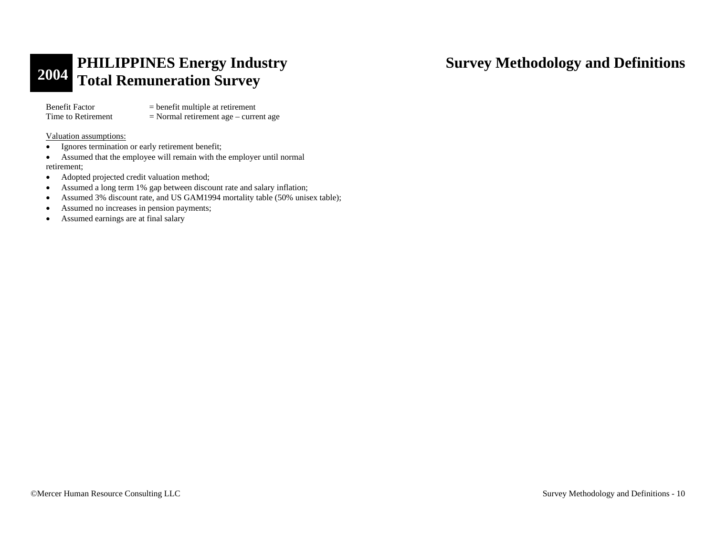Benefit Factor = benefit multiple at retirement<br>Time to Retirement = Normal retirement age – curre  $=$  Normal retirement age – current age

Valuation assumptions:

- •Ignores termination or early retirement benefit;
- • Assumed that the employee will remain with the employer until normal retirement;
- •Adopted projected credit valuation method;
- •Assumed a long term 1% gap between discount rate and salary inflation;
- •Assumed 3% discount rate, and US GAM1994 mortality table (50% unisex table);
- •Assumed no increases in pension payments;
- •Assumed earnings are at final salary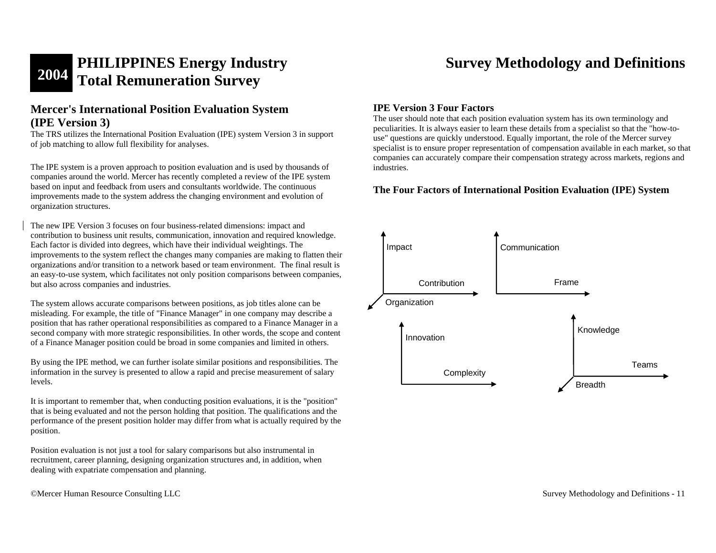## **Mercer's International Position Evaluation System (IPE Version 3)**

The TRS utilizes the International Position Evaluation (IPE) system Version 3 in support of job matching to allow full flexibility for analyses.

The IPE system is a proven approach to position evaluation and is used by thousands of companies around the world. Mercer has recently completed a review of the IPE system based on input and feedback from users and consultants worldwide. The continuous improvements made to the system address the changing environment and evolution of organization structures.

The new IPE Version 3 focuses on four business-related dimensions: impact and contribution to business unit results, communication, innovation and required knowledge. Each factor is divided into degrees, which have their individual weightings. The improvements to the system reflect the changes many companies are making to flatten their organizations and/or transition to a network based or team environment. The final result is an easy-to-use system, which facilitates not only position comparisons between companies, but also across companies and industries.

The system allows accurate comparisons between positions, as job titles alone can be misleading. For example, the title of "Finance Manager" in one company may describe a position that has rather operational responsibilities as compared to a Finance Manager in a second company with more strategic responsibilities. In other words, the scope and content of a Finance Manager position could be broad in some companies and limited in others.

By using the IPE method, we can further isolate similar positions and responsibilities. The information in the survey is presented to allow a rapid and precise measurement of salary levels.

It is important to remember that, when conducting position evaluations, it is the "position" that is being evaluated and not the person holding that position. The qualifications and the performance of the present position holder may differ from what is actually required by the position.

Position evaluation is not just a tool for salary comparisons but also instrumental in recruitment, career planning, designing organization structures and, in addition, when dealing with expatriate compensation and planning.

©Mercer Human Resource Consulting LLC Survey Methodology and Definitions - 11

## **IPE Version 3 Four Factors**

The user should note that each position evaluation system has its own terminology and peculiarities. It is always easier to learn these details from a specialist so that the "how-touse" questions are quickly understood. Equally important, the role of the Mercer survey specialist is to ensure proper representation of compensation available in each market, so that companies can accurately compare their compensation strategy across markets, regions and industries.

## **The Four Factors of International Position Evaluation (IPE) System**

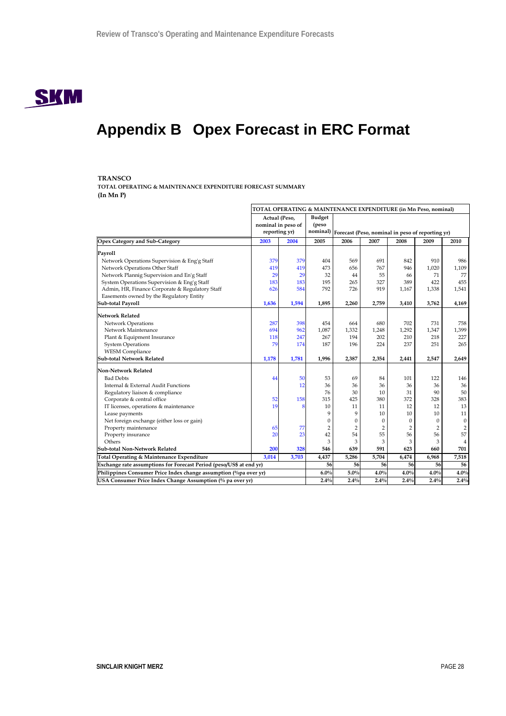

# **Appendix B Opex Forecast in ERC Format**

### **TRANSCO**

**TOTAL OPERATING & MAINTENANCE EXPENDITURE FORECAST SUMMARY (In Mn P)**

|                                                                     | TOTAL OPERATING & MAINTENANCE EXPENDITURE (in Mn Peso, nominal) |       |                        |                                                           |                |                |                |                  |  |
|---------------------------------------------------------------------|-----------------------------------------------------------------|-------|------------------------|-----------------------------------------------------------|----------------|----------------|----------------|------------------|--|
|                                                                     | Actual (Peso,<br>nominal in peso of                             |       | <b>Budget</b><br>(peso |                                                           |                |                |                |                  |  |
|                                                                     | reporting yr)                                                   |       |                        | nominal) Forecast (Peso, nominal in peso of reporting yr) |                |                |                |                  |  |
| Opex Category and Sub-Category                                      | 2003                                                            | 2004  | 2005                   | 2006                                                      | 2007           | 2008           | 2009           | 2010             |  |
| Payroll                                                             |                                                                 |       |                        |                                                           |                |                |                |                  |  |
| Network Operations Supervision & Eng'g Staff                        | 379                                                             | 379   | 404                    | 569                                                       | 691            | 842            | 910            | 986              |  |
| Network Operations Other Staff                                      | 419                                                             | 419   | 473                    | 656                                                       | 767            | 946            | 1,020          | 1,109            |  |
| Network Plannig Supervision and En'g Staff                          | 29                                                              | 29    | 32                     | 44                                                        | 55             | 66             | 71             | 77               |  |
| System Operations Supervision & Eng'g Staff                         | 183                                                             | 183   | 195                    | 265                                                       | 327            | 389            | 422            | 455              |  |
| Admin, HR, Finance Corporate & Regulatory Staff                     | 626                                                             | 584   | 792                    | 726                                                       | 919            | 1,167          | 1,338          | 1,541            |  |
| Easements owned by the Regulatory Entity                            |                                                                 |       |                        |                                                           |                |                |                |                  |  |
| Sub-total Payroll                                                   | 1,636                                                           | 1,594 | 1.895                  | 2,260                                                     | 2,759          | 3,410          | 3,762          | 4.169            |  |
| <b>Network Related</b>                                              |                                                                 |       |                        |                                                           |                |                |                |                  |  |
| Network Operations                                                  | 287                                                             | 398   | 454                    | 664                                                       | 680            | 702            | 731            | 758              |  |
| Network Maintenance                                                 | 694                                                             | 962   | 1.087                  | 1,332                                                     | 1,248          | 1,292          | 1,347          | 1,399            |  |
| Plant & Equipment Insurance                                         | 118                                                             | 247   | 267                    | 194                                                       | 202            | 210            | 218            | 227              |  |
| <b>System Operations</b>                                            | 79                                                              | 174   | 187                    | 196                                                       | 224            | 237            | 251            | 265              |  |
| <b>WESM</b> Compliance                                              |                                                                 |       |                        |                                                           |                |                |                |                  |  |
| <b>Sub-total Network Related</b>                                    | 1,178                                                           | 1,781 | 1,996                  | 2,387                                                     | 2,354          | 2,441          | 2,547          | 2,649            |  |
| <b>Non-Network Related</b>                                          |                                                                 |       |                        |                                                           |                |                |                |                  |  |
| <b>Bad Debts</b>                                                    | 44                                                              | 50    | 53                     | 69                                                        | 84             | 101            | 122            | 146              |  |
| Internal & External Audit Functions                                 |                                                                 | 12    | 36                     | 36                                                        | 36             | 36             | 36             | 36               |  |
| Regulatory liaison & compliance                                     |                                                                 |       | 76                     | 30                                                        | 10             | 31             | 90             | 50               |  |
| Corporate & central office                                          | 52                                                              | 158   | 315                    | 425                                                       | 380            | 372            | 328            | 383              |  |
| IT licenses, operations & maintenance                               | 19                                                              |       | 10                     | 11                                                        | 11             | 12             | 12             | 13               |  |
| Lease payments                                                      |                                                                 |       | 9                      | 9                                                         | 10             | 10             | 10             | 11               |  |
| Net foreign exchange (either loss or gain)                          |                                                                 |       | $\theta$               | $\mathbf{0}$                                              | $\mathbf{0}$   | $\mathbf{0}$   | $\mathbf{0}$   | $\boldsymbol{0}$ |  |
| Property maintenance                                                | 65                                                              | 77    | $\overline{2}$         | $\overline{2}$                                            | $\overline{2}$ | $\overline{2}$ | $\overline{2}$ | $\overline{2}$   |  |
| Property insurance                                                  | 20                                                              | 23    | 42                     | 54                                                        | 55             | 56             | 56             | 57               |  |
| Others                                                              |                                                                 |       | 3                      | 3                                                         | 3              | 3              | 3              | $\overline{4}$   |  |
| Sub-total Non-Network Related                                       | 200                                                             | 328   | 546                    | 639                                                       | 591            | 623            | 660            | 701              |  |
| Total Operating & Maintenance Expenditure                           | 3,014                                                           | 3,703 | 4,437                  | 5,286                                                     | 5,704          | 6,474          | 6,968          | 7,518            |  |
| Exchange rate assumptions for Forecast Period (peso/US\$ at end yr) |                                                                 |       | 56                     | 56                                                        | 56             | 56             | 56             | 56               |  |
| Philippines Consumer Price Index change assumption (%pa over yr)    |                                                                 |       | 6.0%                   | 5.0%                                                      | 4.0%           | 4.0%           | 4.0%           | 4.0%             |  |
| USA Consumer Price Index Change Assumption (% pa over yr)           |                                                                 |       | 2.4%                   | 2.4%                                                      | 2.4%           | 2.4%           | 2.4%           | 2.4%             |  |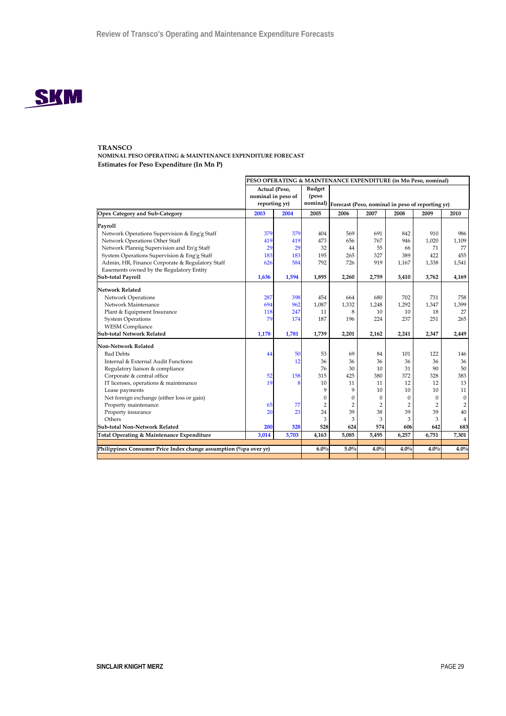

**NOMINAL PESO OPERATING & MAINTENANCE EXPENDITURE FORECAST Estimates for Peso Expenditure (In Mn P)**

| Actual (Peso,<br><b>Budget</b><br>nominal in peso of<br>(peso<br>nominal) Forecast (Peso, nominal in peso of reporting yr)<br>reporting yr)<br>2007<br>2003<br>2004<br>2005<br>2006<br>2008<br>2009<br>2010<br>Payroll<br>379<br>Network Operations Supervision & Eng'g Staff<br>379<br>569<br>691<br>910<br>986<br>404<br>842<br>Network Operations Other Staff<br>419<br>473<br>767<br>1,020<br>1,109<br>419<br>656<br>946<br>Network Plannig Supervision and En'g Staff<br>32<br>77<br>29<br>29<br>44<br>55<br>71<br>66<br>System Operations Supervision & Eng'g Staff<br>455<br>183<br>195<br>265<br>327<br>389<br>183<br>422<br>Admin, HR, Finance Corporate & Regulatory Staff<br>584<br>792<br>626<br>726<br>919<br>1,167<br>1,338<br>1,541<br>Easements owned by the Regulatory Entity<br>1,636<br>1,594<br>1,895<br>2,260<br>2,759<br>3,762<br>4,169<br>3,410<br><b>Network Related</b><br>287<br>Network Operations<br>398<br>454<br>680<br>702<br>731<br>758<br>664<br>Network Maintenance<br>694<br>962<br>1,087<br>1,332<br>1,399<br>1,248<br>1,292<br>1,347<br>27<br>Plant & Equipment Insurance<br>118<br>247<br>11<br>10<br>18<br>8<br>10<br>79<br>174<br>187<br>196<br>265<br><b>System Operations</b><br>224<br>237<br>251<br><b>WESM</b> Compliance<br>1,178<br>1,781<br>1,739<br>2,201<br>2,162<br>2,347<br>2,241<br>2,449<br>Non-Network Related<br><b>Bad Debts</b><br>50<br>101<br>122<br>146<br>53<br>69<br>84<br>44<br>36<br>36<br>Internal & External Audit Functions<br>36<br>36<br>36<br>36<br>12<br>50<br>76<br>90<br>Regulatory liaison & compliance<br>30<br>10<br>31<br>52<br>315<br>425<br>380<br>328<br>383<br>Corporate & central office<br>158<br>372<br>19<br>13<br>IT licenses, operations & maintenance<br>10<br>11<br>11<br>12<br>12<br>8<br>Lease payments<br>9<br>9<br>10<br>10<br>10<br>11<br>$\boldsymbol{0}$<br>Net foreign exchange (either loss or gain)<br>$\mathbf{0}$<br>$\mathbf{0}$<br>0<br>$\mathbf{0}$<br>$\mathbf{0}$<br>$\overline{c}$<br>Property maintenance<br>65<br>77<br>$\overline{2}$<br>$\overline{2}$<br>$\overline{2}$<br>$\overline{2}$<br>$\overline{2}$<br>40<br>Property insurance<br>39<br>38<br>39<br>20<br>23<br>24<br>39<br>Others<br>3<br>3<br>3<br>3<br>3<br>$\overline{4}$<br>328<br>528<br>624<br>574<br>200<br>642<br>683<br>606<br>3.014<br>3,703<br>4,163<br>5,085<br>5,495<br>6,257<br>6,751<br>7,301<br>Philippines Consumer Price Index change assumption (%pa over yr)<br>5.0%<br>4.0%<br>4.0%<br>4.0%<br>$6.0\%$<br>4.0% |                                           | PESO OPERATING & MAINTENANCE EXPENDITURE (in Mn Peso, nominal) |  |  |  |  |  |  |  |
|----------------------------------------------------------------------------------------------------------------------------------------------------------------------------------------------------------------------------------------------------------------------------------------------------------------------------------------------------------------------------------------------------------------------------------------------------------------------------------------------------------------------------------------------------------------------------------------------------------------------------------------------------------------------------------------------------------------------------------------------------------------------------------------------------------------------------------------------------------------------------------------------------------------------------------------------------------------------------------------------------------------------------------------------------------------------------------------------------------------------------------------------------------------------------------------------------------------------------------------------------------------------------------------------------------------------------------------------------------------------------------------------------------------------------------------------------------------------------------------------------------------------------------------------------------------------------------------------------------------------------------------------------------------------------------------------------------------------------------------------------------------------------------------------------------------------------------------------------------------------------------------------------------------------------------------------------------------------------------------------------------------------------------------------------------------------------------------------------------------------------------------------------------------------------------------------------------------------------------------------------------------------------------------------------------------------------------------------------------------------------------------------------------------------------------------------------------------------------------------------------------------|-------------------------------------------|----------------------------------------------------------------|--|--|--|--|--|--|--|
|                                                                                                                                                                                                                                                                                                                                                                                                                                                                                                                                                                                                                                                                                                                                                                                                                                                                                                                                                                                                                                                                                                                                                                                                                                                                                                                                                                                                                                                                                                                                                                                                                                                                                                                                                                                                                                                                                                                                                                                                                                                                                                                                                                                                                                                                                                                                                                                                                                                                                                                |                                           |                                                                |  |  |  |  |  |  |  |
|                                                                                                                                                                                                                                                                                                                                                                                                                                                                                                                                                                                                                                                                                                                                                                                                                                                                                                                                                                                                                                                                                                                                                                                                                                                                                                                                                                                                                                                                                                                                                                                                                                                                                                                                                                                                                                                                                                                                                                                                                                                                                                                                                                                                                                                                                                                                                                                                                                                                                                                | Opex Category and Sub-Category            |                                                                |  |  |  |  |  |  |  |
|                                                                                                                                                                                                                                                                                                                                                                                                                                                                                                                                                                                                                                                                                                                                                                                                                                                                                                                                                                                                                                                                                                                                                                                                                                                                                                                                                                                                                                                                                                                                                                                                                                                                                                                                                                                                                                                                                                                                                                                                                                                                                                                                                                                                                                                                                                                                                                                                                                                                                                                |                                           |                                                                |  |  |  |  |  |  |  |
|                                                                                                                                                                                                                                                                                                                                                                                                                                                                                                                                                                                                                                                                                                                                                                                                                                                                                                                                                                                                                                                                                                                                                                                                                                                                                                                                                                                                                                                                                                                                                                                                                                                                                                                                                                                                                                                                                                                                                                                                                                                                                                                                                                                                                                                                                                                                                                                                                                                                                                                |                                           |                                                                |  |  |  |  |  |  |  |
|                                                                                                                                                                                                                                                                                                                                                                                                                                                                                                                                                                                                                                                                                                                                                                                                                                                                                                                                                                                                                                                                                                                                                                                                                                                                                                                                                                                                                                                                                                                                                                                                                                                                                                                                                                                                                                                                                                                                                                                                                                                                                                                                                                                                                                                                                                                                                                                                                                                                                                                |                                           |                                                                |  |  |  |  |  |  |  |
|                                                                                                                                                                                                                                                                                                                                                                                                                                                                                                                                                                                                                                                                                                                                                                                                                                                                                                                                                                                                                                                                                                                                                                                                                                                                                                                                                                                                                                                                                                                                                                                                                                                                                                                                                                                                                                                                                                                                                                                                                                                                                                                                                                                                                                                                                                                                                                                                                                                                                                                |                                           |                                                                |  |  |  |  |  |  |  |
|                                                                                                                                                                                                                                                                                                                                                                                                                                                                                                                                                                                                                                                                                                                                                                                                                                                                                                                                                                                                                                                                                                                                                                                                                                                                                                                                                                                                                                                                                                                                                                                                                                                                                                                                                                                                                                                                                                                                                                                                                                                                                                                                                                                                                                                                                                                                                                                                                                                                                                                |                                           |                                                                |  |  |  |  |  |  |  |
|                                                                                                                                                                                                                                                                                                                                                                                                                                                                                                                                                                                                                                                                                                                                                                                                                                                                                                                                                                                                                                                                                                                                                                                                                                                                                                                                                                                                                                                                                                                                                                                                                                                                                                                                                                                                                                                                                                                                                                                                                                                                                                                                                                                                                                                                                                                                                                                                                                                                                                                |                                           |                                                                |  |  |  |  |  |  |  |
|                                                                                                                                                                                                                                                                                                                                                                                                                                                                                                                                                                                                                                                                                                                                                                                                                                                                                                                                                                                                                                                                                                                                                                                                                                                                                                                                                                                                                                                                                                                                                                                                                                                                                                                                                                                                                                                                                                                                                                                                                                                                                                                                                                                                                                                                                                                                                                                                                                                                                                                |                                           |                                                                |  |  |  |  |  |  |  |
|                                                                                                                                                                                                                                                                                                                                                                                                                                                                                                                                                                                                                                                                                                                                                                                                                                                                                                                                                                                                                                                                                                                                                                                                                                                                                                                                                                                                                                                                                                                                                                                                                                                                                                                                                                                                                                                                                                                                                                                                                                                                                                                                                                                                                                                                                                                                                                                                                                                                                                                | Sub-total Payroll                         |                                                                |  |  |  |  |  |  |  |
|                                                                                                                                                                                                                                                                                                                                                                                                                                                                                                                                                                                                                                                                                                                                                                                                                                                                                                                                                                                                                                                                                                                                                                                                                                                                                                                                                                                                                                                                                                                                                                                                                                                                                                                                                                                                                                                                                                                                                                                                                                                                                                                                                                                                                                                                                                                                                                                                                                                                                                                |                                           |                                                                |  |  |  |  |  |  |  |
|                                                                                                                                                                                                                                                                                                                                                                                                                                                                                                                                                                                                                                                                                                                                                                                                                                                                                                                                                                                                                                                                                                                                                                                                                                                                                                                                                                                                                                                                                                                                                                                                                                                                                                                                                                                                                                                                                                                                                                                                                                                                                                                                                                                                                                                                                                                                                                                                                                                                                                                |                                           |                                                                |  |  |  |  |  |  |  |
|                                                                                                                                                                                                                                                                                                                                                                                                                                                                                                                                                                                                                                                                                                                                                                                                                                                                                                                                                                                                                                                                                                                                                                                                                                                                                                                                                                                                                                                                                                                                                                                                                                                                                                                                                                                                                                                                                                                                                                                                                                                                                                                                                                                                                                                                                                                                                                                                                                                                                                                |                                           |                                                                |  |  |  |  |  |  |  |
|                                                                                                                                                                                                                                                                                                                                                                                                                                                                                                                                                                                                                                                                                                                                                                                                                                                                                                                                                                                                                                                                                                                                                                                                                                                                                                                                                                                                                                                                                                                                                                                                                                                                                                                                                                                                                                                                                                                                                                                                                                                                                                                                                                                                                                                                                                                                                                                                                                                                                                                |                                           |                                                                |  |  |  |  |  |  |  |
|                                                                                                                                                                                                                                                                                                                                                                                                                                                                                                                                                                                                                                                                                                                                                                                                                                                                                                                                                                                                                                                                                                                                                                                                                                                                                                                                                                                                                                                                                                                                                                                                                                                                                                                                                                                                                                                                                                                                                                                                                                                                                                                                                                                                                                                                                                                                                                                                                                                                                                                |                                           |                                                                |  |  |  |  |  |  |  |
|                                                                                                                                                                                                                                                                                                                                                                                                                                                                                                                                                                                                                                                                                                                                                                                                                                                                                                                                                                                                                                                                                                                                                                                                                                                                                                                                                                                                                                                                                                                                                                                                                                                                                                                                                                                                                                                                                                                                                                                                                                                                                                                                                                                                                                                                                                                                                                                                                                                                                                                |                                           |                                                                |  |  |  |  |  |  |  |
|                                                                                                                                                                                                                                                                                                                                                                                                                                                                                                                                                                                                                                                                                                                                                                                                                                                                                                                                                                                                                                                                                                                                                                                                                                                                                                                                                                                                                                                                                                                                                                                                                                                                                                                                                                                                                                                                                                                                                                                                                                                                                                                                                                                                                                                                                                                                                                                                                                                                                                                | <b>Sub-total Network Related</b>          |                                                                |  |  |  |  |  |  |  |
|                                                                                                                                                                                                                                                                                                                                                                                                                                                                                                                                                                                                                                                                                                                                                                                                                                                                                                                                                                                                                                                                                                                                                                                                                                                                                                                                                                                                                                                                                                                                                                                                                                                                                                                                                                                                                                                                                                                                                                                                                                                                                                                                                                                                                                                                                                                                                                                                                                                                                                                |                                           |                                                                |  |  |  |  |  |  |  |
|                                                                                                                                                                                                                                                                                                                                                                                                                                                                                                                                                                                                                                                                                                                                                                                                                                                                                                                                                                                                                                                                                                                                                                                                                                                                                                                                                                                                                                                                                                                                                                                                                                                                                                                                                                                                                                                                                                                                                                                                                                                                                                                                                                                                                                                                                                                                                                                                                                                                                                                |                                           |                                                                |  |  |  |  |  |  |  |
|                                                                                                                                                                                                                                                                                                                                                                                                                                                                                                                                                                                                                                                                                                                                                                                                                                                                                                                                                                                                                                                                                                                                                                                                                                                                                                                                                                                                                                                                                                                                                                                                                                                                                                                                                                                                                                                                                                                                                                                                                                                                                                                                                                                                                                                                                                                                                                                                                                                                                                                |                                           |                                                                |  |  |  |  |  |  |  |
|                                                                                                                                                                                                                                                                                                                                                                                                                                                                                                                                                                                                                                                                                                                                                                                                                                                                                                                                                                                                                                                                                                                                                                                                                                                                                                                                                                                                                                                                                                                                                                                                                                                                                                                                                                                                                                                                                                                                                                                                                                                                                                                                                                                                                                                                                                                                                                                                                                                                                                                |                                           |                                                                |  |  |  |  |  |  |  |
|                                                                                                                                                                                                                                                                                                                                                                                                                                                                                                                                                                                                                                                                                                                                                                                                                                                                                                                                                                                                                                                                                                                                                                                                                                                                                                                                                                                                                                                                                                                                                                                                                                                                                                                                                                                                                                                                                                                                                                                                                                                                                                                                                                                                                                                                                                                                                                                                                                                                                                                |                                           |                                                                |  |  |  |  |  |  |  |
|                                                                                                                                                                                                                                                                                                                                                                                                                                                                                                                                                                                                                                                                                                                                                                                                                                                                                                                                                                                                                                                                                                                                                                                                                                                                                                                                                                                                                                                                                                                                                                                                                                                                                                                                                                                                                                                                                                                                                                                                                                                                                                                                                                                                                                                                                                                                                                                                                                                                                                                |                                           |                                                                |  |  |  |  |  |  |  |
|                                                                                                                                                                                                                                                                                                                                                                                                                                                                                                                                                                                                                                                                                                                                                                                                                                                                                                                                                                                                                                                                                                                                                                                                                                                                                                                                                                                                                                                                                                                                                                                                                                                                                                                                                                                                                                                                                                                                                                                                                                                                                                                                                                                                                                                                                                                                                                                                                                                                                                                |                                           |                                                                |  |  |  |  |  |  |  |
|                                                                                                                                                                                                                                                                                                                                                                                                                                                                                                                                                                                                                                                                                                                                                                                                                                                                                                                                                                                                                                                                                                                                                                                                                                                                                                                                                                                                                                                                                                                                                                                                                                                                                                                                                                                                                                                                                                                                                                                                                                                                                                                                                                                                                                                                                                                                                                                                                                                                                                                |                                           |                                                                |  |  |  |  |  |  |  |
|                                                                                                                                                                                                                                                                                                                                                                                                                                                                                                                                                                                                                                                                                                                                                                                                                                                                                                                                                                                                                                                                                                                                                                                                                                                                                                                                                                                                                                                                                                                                                                                                                                                                                                                                                                                                                                                                                                                                                                                                                                                                                                                                                                                                                                                                                                                                                                                                                                                                                                                |                                           |                                                                |  |  |  |  |  |  |  |
|                                                                                                                                                                                                                                                                                                                                                                                                                                                                                                                                                                                                                                                                                                                                                                                                                                                                                                                                                                                                                                                                                                                                                                                                                                                                                                                                                                                                                                                                                                                                                                                                                                                                                                                                                                                                                                                                                                                                                                                                                                                                                                                                                                                                                                                                                                                                                                                                                                                                                                                |                                           |                                                                |  |  |  |  |  |  |  |
|                                                                                                                                                                                                                                                                                                                                                                                                                                                                                                                                                                                                                                                                                                                                                                                                                                                                                                                                                                                                                                                                                                                                                                                                                                                                                                                                                                                                                                                                                                                                                                                                                                                                                                                                                                                                                                                                                                                                                                                                                                                                                                                                                                                                                                                                                                                                                                                                                                                                                                                |                                           |                                                                |  |  |  |  |  |  |  |
|                                                                                                                                                                                                                                                                                                                                                                                                                                                                                                                                                                                                                                                                                                                                                                                                                                                                                                                                                                                                                                                                                                                                                                                                                                                                                                                                                                                                                                                                                                                                                                                                                                                                                                                                                                                                                                                                                                                                                                                                                                                                                                                                                                                                                                                                                                                                                                                                                                                                                                                | Sub-total Non-Network Related             |                                                                |  |  |  |  |  |  |  |
|                                                                                                                                                                                                                                                                                                                                                                                                                                                                                                                                                                                                                                                                                                                                                                                                                                                                                                                                                                                                                                                                                                                                                                                                                                                                                                                                                                                                                                                                                                                                                                                                                                                                                                                                                                                                                                                                                                                                                                                                                                                                                                                                                                                                                                                                                                                                                                                                                                                                                                                | Total Operating & Maintenance Expenditure |                                                                |  |  |  |  |  |  |  |
|                                                                                                                                                                                                                                                                                                                                                                                                                                                                                                                                                                                                                                                                                                                                                                                                                                                                                                                                                                                                                                                                                                                                                                                                                                                                                                                                                                                                                                                                                                                                                                                                                                                                                                                                                                                                                                                                                                                                                                                                                                                                                                                                                                                                                                                                                                                                                                                                                                                                                                                |                                           |                                                                |  |  |  |  |  |  |  |
|                                                                                                                                                                                                                                                                                                                                                                                                                                                                                                                                                                                                                                                                                                                                                                                                                                                                                                                                                                                                                                                                                                                                                                                                                                                                                                                                                                                                                                                                                                                                                                                                                                                                                                                                                                                                                                                                                                                                                                                                                                                                                                                                                                                                                                                                                                                                                                                                                                                                                                                |                                           |                                                                |  |  |  |  |  |  |  |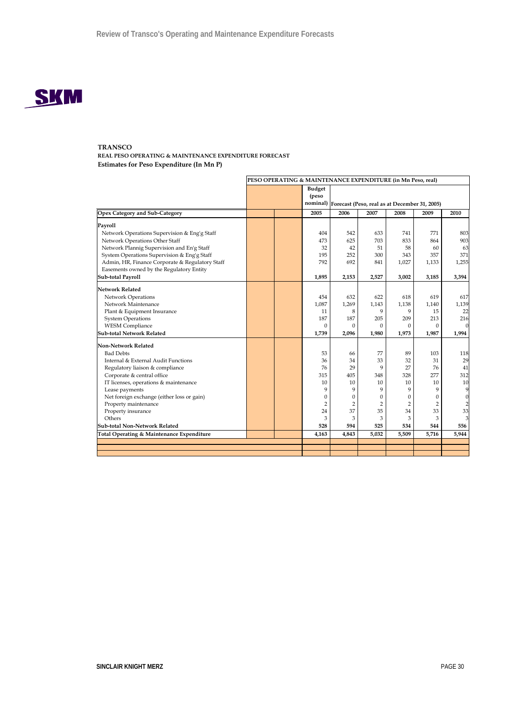

**REAL PESO OPERATING & MAINTENANCE EXPENDITURE FORECAST Estimates for Peso Expenditure (In Mn P)**

|                                                                                                                                                                                                                                                                                                                                                   | PESO OPERATING & MAINTENANCE EXPENDITURE (in Mn Peso, real) |  |                                                                                          |                                                                                    |                                                                                 |                                                                              |                                                                            |                                                                                                |
|---------------------------------------------------------------------------------------------------------------------------------------------------------------------------------------------------------------------------------------------------------------------------------------------------------------------------------------------------|-------------------------------------------------------------|--|------------------------------------------------------------------------------------------|------------------------------------------------------------------------------------|---------------------------------------------------------------------------------|------------------------------------------------------------------------------|----------------------------------------------------------------------------|------------------------------------------------------------------------------------------------|
|                                                                                                                                                                                                                                                                                                                                                   |                                                             |  | <b>Budget</b><br>(peso                                                                   | nominal) Forecast (Peso, real as at December 31, 2005)                             |                                                                                 |                                                                              |                                                                            |                                                                                                |
| <b>Opex Category and Sub-Category</b>                                                                                                                                                                                                                                                                                                             |                                                             |  | 2005                                                                                     | 2006                                                                               | 2007                                                                            | 2008                                                                         | 2009                                                                       | 2010                                                                                           |
| Payroll<br>Network Operations Supervision & Eng'g Staff<br>Network Operations Other Staff<br>Network Plannig Supervision and En'g Staff<br>System Operations Supervision & Eng'g Staff<br>Admin, HR, Finance Corporate & Regulatory Staff<br>Easements owned by the Regulatory Entity                                                             |                                                             |  | 404<br>473<br>32<br>195<br>792                                                           | 542<br>625<br>42<br>252<br>692                                                     | 633<br>703<br>51<br>300<br>841                                                  | 741<br>833<br>58<br>343<br>1,027                                             | 771<br>864<br>60<br>357<br>1,133                                           | 803<br>903<br>63<br>371<br>1,255                                                               |
| Sub-total Payroll                                                                                                                                                                                                                                                                                                                                 |                                                             |  | 1,895                                                                                    | 2,153                                                                              | 2,527                                                                           | 3,002                                                                        | 3,185                                                                      | 3,394                                                                                          |
| Network Related<br>Network Operations<br>Network Maintenance<br>Plant & Equipment Insurance<br><b>System Operations</b><br><b>WESM</b> Compliance<br><b>Sub-total Network Related</b>                                                                                                                                                             |                                                             |  | 454<br>1,087<br>11<br>187<br>$\Omega$<br>1,739                                           | 632<br>1,269<br>8<br>187<br>$\Omega$<br>2,096                                      | 622<br>1,143<br>9<br>205<br>$\Omega$<br>1,980                                   | 618<br>1,138<br>9<br>209<br>$\Omega$<br>1,973                                | 619<br>1,140<br>15<br>213<br>$\Omega$<br>1,987                             | 617<br>1,139<br>22<br>216<br>$\mathbf{0}$<br>1,994                                             |
| Non-Network Related<br><b>Bad Debts</b><br>Internal & External Audit Functions<br>Regulatory liaison & compliance<br>Corporate & central office<br>IT licenses, operations & maintenance<br>Lease payments<br>Net foreign exchange (either loss or gain)<br>Property maintenance<br>Property insurance<br>Others<br>Sub-total Non-Network Related |                                                             |  | 53<br>36<br>76<br>315<br>10<br>9<br>$\boldsymbol{0}$<br>$\overline{2}$<br>24<br>3<br>528 | 66<br>34<br>29<br>405<br>10<br>9<br>0<br>$\overline{2}$<br>37<br>3<br>594<br>4.843 | 77<br>33<br>9<br>348<br>10<br>9<br>$\Omega$<br>$\overline{2}$<br>35<br>3<br>525 | 89<br>32<br>27<br>328<br>10<br>9<br>$\Omega$<br>2<br>34<br>3<br>534<br>5.509 | 103<br>31<br>76<br>277<br>10<br>9<br>0<br>$\overline{2}$<br>33<br>3<br>544 | 118<br>29<br>41<br>312<br>10<br>9<br>$\mathbf{0}$<br>$\overline{2}$<br>33<br>3<br>556<br>5.944 |
| Total Operating & Maintenance Expenditure                                                                                                                                                                                                                                                                                                         |                                                             |  | 4,163                                                                                    |                                                                                    | 5,032                                                                           |                                                                              | 5,716                                                                      |                                                                                                |
|                                                                                                                                                                                                                                                                                                                                                   |                                                             |  |                                                                                          |                                                                                    |                                                                                 |                                                                              |                                                                            |                                                                                                |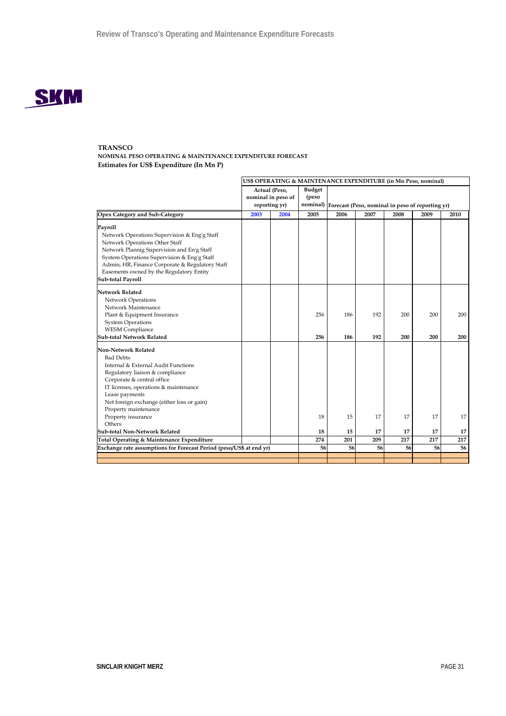

**NOMINAL PESO OPERATING & MAINTENANCE EXPENDITURE FORECAST Estimates for US\$ Expenditure (In Mn P)**

|                                                                     | US\$ OPERATING & MAINTENANCE EXPENDITURE (in Mn Peso, nominal) |                                                      |                        |                                                           |      |      |      |      |
|---------------------------------------------------------------------|----------------------------------------------------------------|------------------------------------------------------|------------------------|-----------------------------------------------------------|------|------|------|------|
|                                                                     |                                                                | Actual (Peso,<br>nominal in peso of<br>reporting yr) | <b>Budget</b><br>(peso | nominal) Forecast (Peso, nominal in peso of reporting yr) |      |      |      |      |
| Opex Category and Sub-Category                                      | 2003                                                           | 2004                                                 | 2005                   | 2006                                                      | 2007 | 2008 | 2009 | 2010 |
| Payroll                                                             |                                                                |                                                      |                        |                                                           |      |      |      |      |
| Network Operations Supervision & Eng'g Staff                        |                                                                |                                                      |                        |                                                           |      |      |      |      |
| Network Operations Other Staff                                      |                                                                |                                                      |                        |                                                           |      |      |      |      |
| Network Plannig Supervision and En'g Staff                          |                                                                |                                                      |                        |                                                           |      |      |      |      |
| System Operations Supervision & Eng'g Staff                         |                                                                |                                                      |                        |                                                           |      |      |      |      |
| Admin, HR, Finance Corporate & Regulatory Staff                     |                                                                |                                                      |                        |                                                           |      |      |      |      |
| Easements owned by the Regulatory Entity                            |                                                                |                                                      |                        |                                                           |      |      |      |      |
| Sub-total Payroll                                                   |                                                                |                                                      |                        |                                                           |      |      |      |      |
| Network Related                                                     |                                                                |                                                      |                        |                                                           |      |      |      |      |
| Network Operations                                                  |                                                                |                                                      |                        |                                                           |      |      |      |      |
| Network Maintenance                                                 |                                                                |                                                      |                        |                                                           |      |      |      |      |
| Plant & Equipment Insurance                                         |                                                                |                                                      | 256                    | 186                                                       | 192  | 200  | 200  | 200  |
| <b>System Operations</b>                                            |                                                                |                                                      |                        |                                                           |      |      |      |      |
| <b>WESM Compliance</b>                                              |                                                                |                                                      |                        |                                                           |      |      |      |      |
| Sub-total Network Related                                           |                                                                |                                                      | 256                    | 186                                                       | 192  | 200  | 200  | 200  |
| <b>Non-Network Related</b>                                          |                                                                |                                                      |                        |                                                           |      |      |      |      |
| <b>Bad Debts</b>                                                    |                                                                |                                                      |                        |                                                           |      |      |      |      |
| Internal & External Audit Functions                                 |                                                                |                                                      |                        |                                                           |      |      |      |      |
| Regulatory liaison & compliance                                     |                                                                |                                                      |                        |                                                           |      |      |      |      |
| Corporate & central office                                          |                                                                |                                                      |                        |                                                           |      |      |      |      |
| IT licenses, operations & maintenance                               |                                                                |                                                      |                        |                                                           |      |      |      |      |
| Lease payments                                                      |                                                                |                                                      |                        |                                                           |      |      |      |      |
| Net foreign exchange (either loss or gain)                          |                                                                |                                                      |                        |                                                           |      |      |      |      |
| Property maintenance                                                |                                                                |                                                      |                        |                                                           |      |      |      |      |
| Property insurance                                                  |                                                                |                                                      | 18                     | 15                                                        | 17   | 17   | 17   | 17   |
| Others                                                              |                                                                |                                                      |                        |                                                           |      |      |      |      |
| Sub-total Non-Network Related                                       |                                                                |                                                      | 18                     | 15                                                        | 17   | 17   | 17   | 17   |
| Total Operating & Maintenance Expenditure                           |                                                                |                                                      | 274                    | 201                                                       | 209  | 217  | 217  | 217  |
| Exchange rate assumptions for Forecast Period (peso/US\$ at end yr) |                                                                |                                                      | 56                     | 56                                                        | 56   | 56   | 56   | 56   |
|                                                                     |                                                                |                                                      |                        |                                                           |      |      |      |      |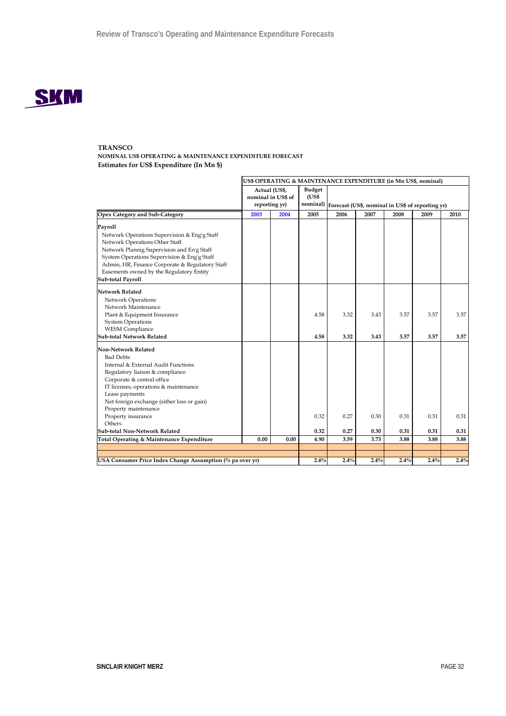

**NOMINAL US\$ OPERATING & MAINTENANCE EXPENDITURE FORECAST Estimates for US\$ Expenditure (In Mn \$)**

|                                                               | US\$ OPERATING & MAINTENANCE EXPENDITURE (in Mn US\$, nominal)        |      |      |                                                           |      |      |      |      |
|---------------------------------------------------------------|-----------------------------------------------------------------------|------|------|-----------------------------------------------------------|------|------|------|------|
|                                                               | Actual (US\$,<br><b>Budget</b><br>nominal in US\$ of<br>reporting yr) |      |      | nominal) Forecast (US\$, nominal in US\$ of reporting yr) |      |      |      |      |
| <b>Opex Category and Sub-Category</b>                         | 2003                                                                  | 2004 | 2005 | 2006                                                      | 2007 | 2008 | 2009 | 2010 |
| Payroll                                                       |                                                                       |      |      |                                                           |      |      |      |      |
| Network Operations Supervision & Eng'g Staff                  |                                                                       |      |      |                                                           |      |      |      |      |
| Network Operations Other Staff                                |                                                                       |      |      |                                                           |      |      |      |      |
| Network Plannig Supervision and En'g Staff                    |                                                                       |      |      |                                                           |      |      |      |      |
| System Operations Supervision & Eng'g Staff                   |                                                                       |      |      |                                                           |      |      |      |      |
| Admin, HR, Finance Corporate & Regulatory Staff               |                                                                       |      |      |                                                           |      |      |      |      |
| Easements owned by the Regulatory Entity<br>Sub-total Payroll |                                                                       |      |      |                                                           |      |      |      |      |
|                                                               |                                                                       |      |      |                                                           |      |      |      |      |
| <b>Network Related</b>                                        |                                                                       |      |      |                                                           |      |      |      |      |
| Network Operations                                            |                                                                       |      |      |                                                           |      |      |      |      |
| Network Maintenance                                           |                                                                       |      |      |                                                           |      |      |      |      |
| Plant & Equipment Insurance                                   |                                                                       |      | 4.58 | 3.32                                                      | 3.43 | 3.57 | 3.57 | 3.57 |
| <b>System Operations</b>                                      |                                                                       |      |      |                                                           |      |      |      |      |
| <b>WESM Compliance</b>                                        |                                                                       |      |      |                                                           |      |      |      |      |
| <b>Sub-total Network Related</b>                              |                                                                       |      | 4.58 | 3.32                                                      | 3.43 | 3.57 | 3.57 | 3.57 |
| <b>Non-Network Related</b>                                    |                                                                       |      |      |                                                           |      |      |      |      |
| <b>Bad Debts</b>                                              |                                                                       |      |      |                                                           |      |      |      |      |
| Internal & External Audit Functions                           |                                                                       |      |      |                                                           |      |      |      |      |
| Regulatory liaison & compliance                               |                                                                       |      |      |                                                           |      |      |      |      |
| Corporate & central office                                    |                                                                       |      |      |                                                           |      |      |      |      |
| IT licenses, operations & maintenance                         |                                                                       |      |      |                                                           |      |      |      |      |
| Lease payments                                                |                                                                       |      |      |                                                           |      |      |      |      |
| Net foreign exchange (either loss or gain)                    |                                                                       |      |      |                                                           |      |      |      |      |
| Property maintenance                                          |                                                                       |      |      |                                                           |      |      |      |      |
| Property insurance                                            |                                                                       |      | 0.32 | 0.27                                                      | 0.30 | 0.31 | 0.31 | 0.31 |
| Others<br>Sub-total Non-Network Related                       |                                                                       |      | 0.32 | 0.27                                                      | 0.30 | 0.31 | 0.31 | 0.31 |
|                                                               | 0.00                                                                  | 0.00 | 4.90 |                                                           |      | 3.88 | 3.88 |      |
| Total Operating & Maintenance Expenditure                     |                                                                       |      |      | 3.59                                                      | 3.73 |      |      | 3.88 |
|                                                               |                                                                       |      |      |                                                           |      |      |      |      |
| USA Consumer Price Index Change Assumption (% pa over yr)     |                                                                       |      | 2.4% | 2.4%                                                      | 2.4% | 2.4% | 2.4% | 2.4% |